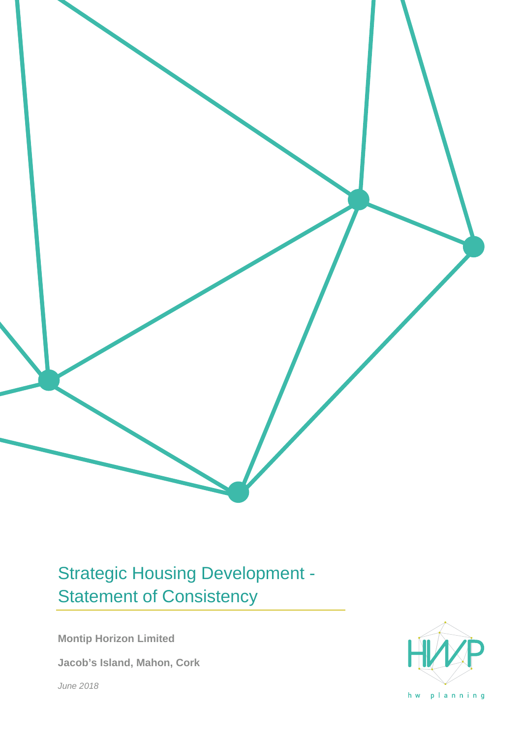

# Strategic Housing Development - Statement of Consistency

**Montip Horizon Limited**

**Jacob's Island, Mahon, Cork**

*June 2018*



hw planning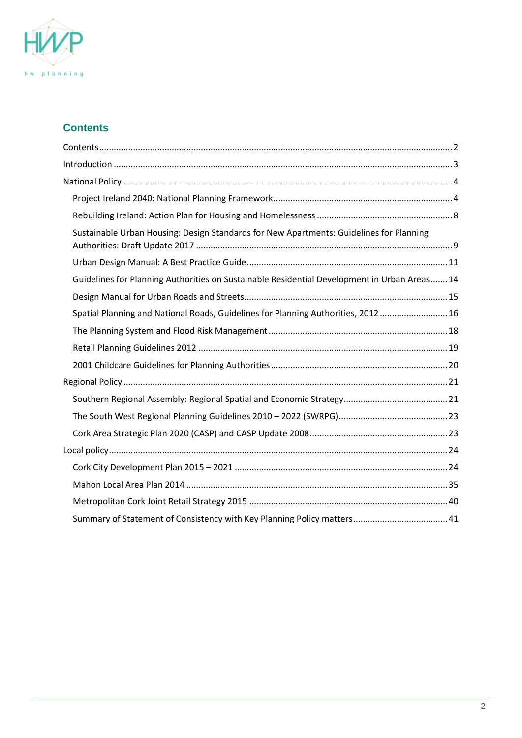

# **Contents**

| Sustainable Urban Housing: Design Standards for New Apartments: Guidelines for Planning      |  |
|----------------------------------------------------------------------------------------------|--|
|                                                                                              |  |
| Guidelines for Planning Authorities on Sustainable Residential Development in Urban Areas 14 |  |
|                                                                                              |  |
| Spatial Planning and National Roads, Guidelines for Planning Authorities, 2012 16            |  |
|                                                                                              |  |
|                                                                                              |  |
|                                                                                              |  |
|                                                                                              |  |
|                                                                                              |  |
|                                                                                              |  |
|                                                                                              |  |
|                                                                                              |  |
|                                                                                              |  |
|                                                                                              |  |
|                                                                                              |  |
|                                                                                              |  |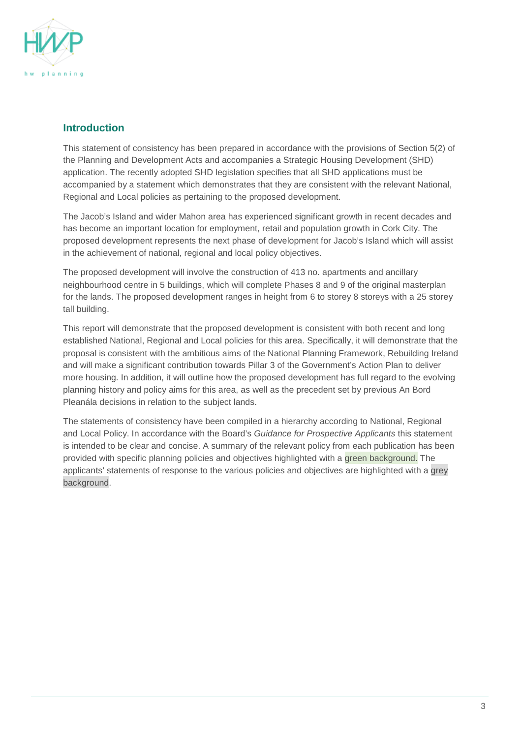

# **Introduction**

This statement of consistency has been prepared in accordance with the provisions of Section 5(2) of the Planning and Development Acts and accompanies a Strategic Housing Development (SHD) application. The recently adopted SHD legislation specifies that all SHD applications must be accompanied by a statement which demonstrates that they are consistent with the relevant National, Regional and Local policies as pertaining to the proposed development.

The Jacob's Island and wider Mahon area has experienced significant growth in recent decades and has become an important location for employment, retail and population growth in Cork City. The proposed development represents the next phase of development for Jacob's Island which will assist in the achievement of national, regional and local policy objectives.

The proposed development will involve the construction of 413 no. apartments and ancillary neighbourhood centre in 5 buildings, which will complete Phases 8 and 9 of the original masterplan for the lands. The proposed development ranges in height from 6 to storey 8 storeys with a 25 storey tall building.

This report will demonstrate that the proposed development is consistent with both recent and long established National, Regional and Local policies for this area. Specifically, it will demonstrate that the proposal is consistent with the ambitious aims of the National Planning Framework, Rebuilding Ireland and will make a significant contribution towards Pillar 3 of the Government's Action Plan to deliver more housing. In addition, it will outline how the proposed development has full regard to the evolving planning history and policy aims for this area, as well as the precedent set by previous An Bord Pleanála decisions in relation to the subject lands.

The statements of consistency have been compiled in a hierarchy according to National, Regional and Local Policy. In accordance with the Board's *Guidance for Prospective Applicants* this statement is intended to be clear and concise. A summary of the relevant policy from each publication has been provided with specific planning policies and objectives highlighted with a green background. The applicants' statements of response to the various policies and objectives are highlighted with a grey background.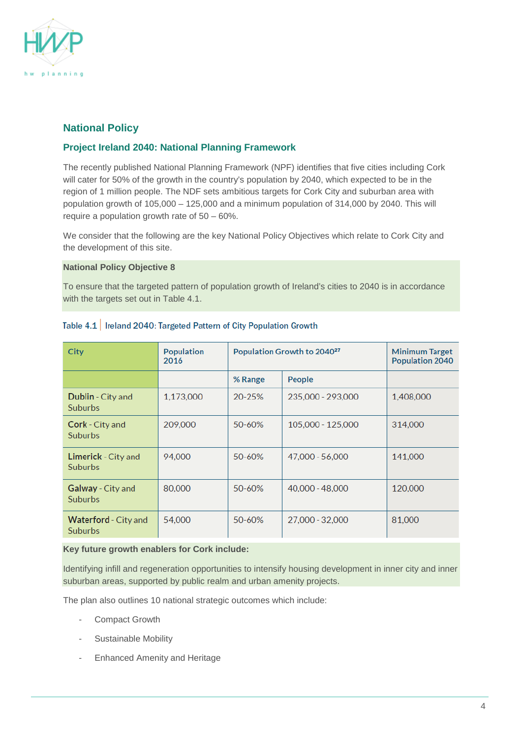

# **National Policy**

# **Project Ireland 2040: National Planning Framework**

The recently published National Planning Framework (NPF) identifies that five cities including Cork will cater for 50% of the growth in the country's population by 2040, which expected to be in the region of 1 million people. The NDF sets ambitious targets for Cork City and suburban area with population growth of 105,000 – 125,000 and a minimum population of 314,000 by 2040. This will require a population growth rate of 50 – 60%.

We consider that the following are the key National Policy Objectives which relate to Cork City and the development of this site.

#### **National Policy Objective 8**

To ensure that the targeted pattern of population growth of Ireland's cities to 2040 is in accordance with the targets set out in Table 4.1.

| City                                         | <b>Population</b><br>2016 | Population Growth to 2040 <sup>27</sup> |                   | <b>Minimum Target</b><br><b>Population 2040</b> |
|----------------------------------------------|---------------------------|-----------------------------------------|-------------------|-------------------------------------------------|
|                                              |                           | % Range                                 | People            |                                                 |
| Dublin - City and<br><b>Suburbs</b>          | 1.173,000                 | 20-25%                                  | 235,000 - 293,000 | 1,408,000                                       |
| Cork - City and<br><b>Suburbs</b>            | 209,000                   | 50-60%                                  | 105,000 - 125,000 | 314,000                                         |
| <b>Limerick</b> - City and<br><b>Suburbs</b> | 94,000                    | 50-60%                                  | 47,000 - 56,000   | 141,000                                         |
| Galway - City and<br><b>Suburbs</b>          | 80,000                    | 50-60%                                  | 40,000 - 48,000   | 120,000                                         |
| Waterford - City and<br><b>Suburbs</b>       | 54,000                    | 50-60%                                  | 27,000 - 32,000   | 81,000                                          |

#### Table 4.1 | Ireland 2040: Targeted Pattern of City Population Growth

#### **Key future growth enablers for Cork include:**

Identifying infill and regeneration opportunities to intensify housing development in inner city and inner suburban areas, supported by public realm and urban amenity projects.

The plan also outlines 10 national strategic outcomes which include:

- Compact Growth
- Sustainable Mobility
- Enhanced Amenity and Heritage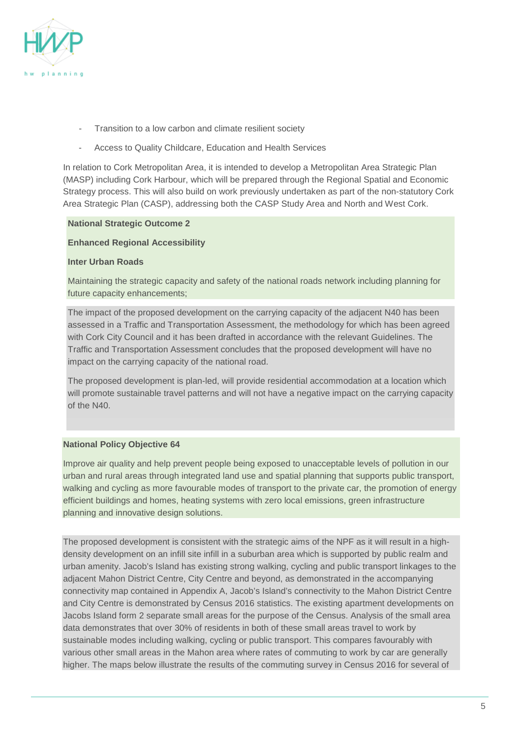

- Transition to a low carbon and climate resilient society
- Access to Quality Childcare, Education and Health Services

In relation to Cork Metropolitan Area, it is intended to develop a Metropolitan Area Strategic Plan (MASP) including Cork Harbour, which will be prepared through the Regional Spatial and Economic Strategy process. This will also build on work previously undertaken as part of the non-statutory Cork Area Strategic Plan (CASP), addressing both the CASP Study Area and North and West Cork.

#### **National Strategic Outcome 2**

#### **Enhanced Regional Accessibility**

#### **Inter Urban Roads**

Maintaining the strategic capacity and safety of the national roads network including planning for future capacity enhancements;

The impact of the proposed development on the carrying capacity of the adjacent N40 has been assessed in a Traffic and Transportation Assessment, the methodology for which has been agreed with Cork City Council and it has been drafted in accordance with the relevant Guidelines. The Traffic and Transportation Assessment concludes that the proposed development will have no impact on the carrying capacity of the national road.

The proposed development is plan-led, will provide residential accommodation at a location which will promote sustainable travel patterns and will not have a negative impact on the carrying capacity of the N40.

# **National Policy Objective 64**

Improve air quality and help prevent people being exposed to unacceptable levels of pollution in our urban and rural areas through integrated land use and spatial planning that supports public transport, walking and cycling as more favourable modes of transport to the private car, the promotion of energy efficient buildings and homes, heating systems with zero local emissions, green infrastructure planning and innovative design solutions.

The proposed development is consistent with the strategic aims of the NPF as it will result in a highdensity development on an infill site infill in a suburban area which is supported by public realm and urban amenity. Jacob's Island has existing strong walking, cycling and public transport linkages to the adjacent Mahon District Centre, City Centre and beyond, as demonstrated in the accompanying connectivity map contained in Appendix A, Jacob's Island's connectivity to the Mahon District Centre and City Centre is demonstrated by Census 2016 statistics. The existing apartment developments on Jacobs Island form 2 separate small areas for the purpose of the Census. Analysis of the small area data demonstrates that over 30% of residents in both of these small areas travel to work by sustainable modes including walking, cycling or public transport. This compares favourably with various other small areas in the Mahon area where rates of commuting to work by car are generally higher. The maps below illustrate the results of the commuting survey in Census 2016 for several of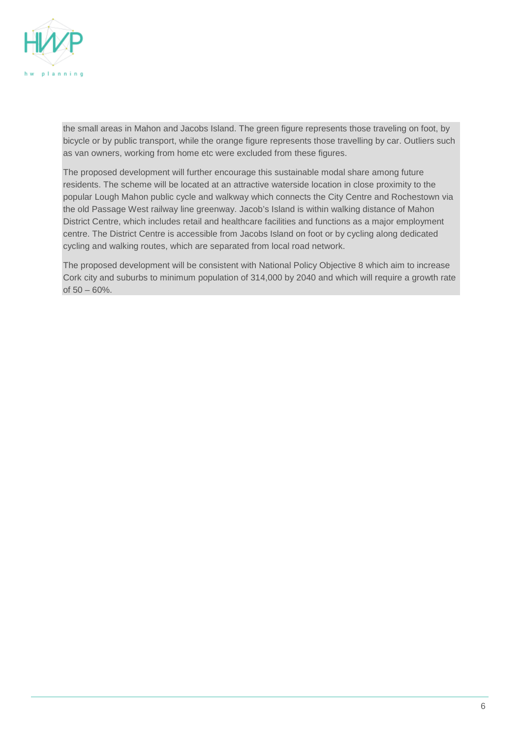

the small areas in Mahon and Jacobs Island. The green figure represents those traveling on foot, by bicycle or by public transport, while the orange figure represents those travelling by car. Outliers such as van owners, working from home etc were excluded from these figures.

The proposed development will further encourage this sustainable modal share among future residents. The scheme will be located at an attractive waterside location in close proximity to the popular Lough Mahon public cycle and walkway which connects the City Centre and Rochestown via the old Passage West railway line greenway. Jacob's Island is within walking distance of Mahon District Centre, which includes retail and healthcare facilities and functions as a major employment centre. The District Centre is accessible from Jacobs Island on foot or by cycling along dedicated cycling and walking routes, which are separated from local road network.

The proposed development will be consistent with National Policy Objective 8 which aim to increase Cork city and suburbs to minimum population of 314,000 by 2040 and which will require a growth rate of 50 – 60%.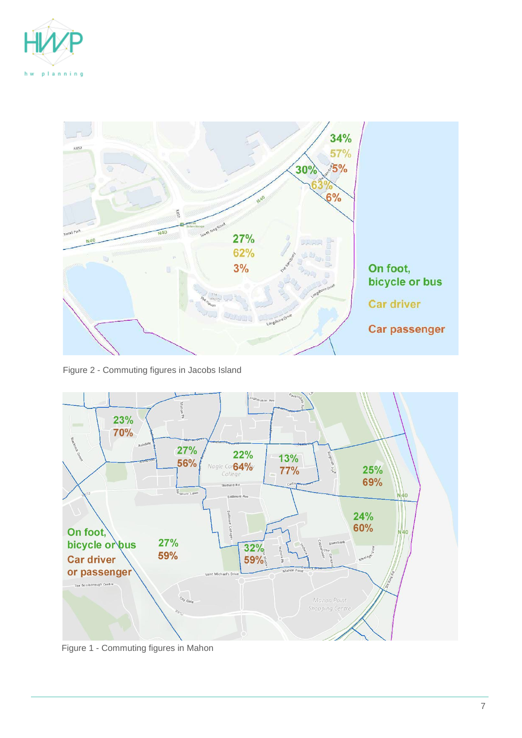



Figure 2 - Commuting figures in Jacobs Island



Figure 1 - Commuting figures in Mahon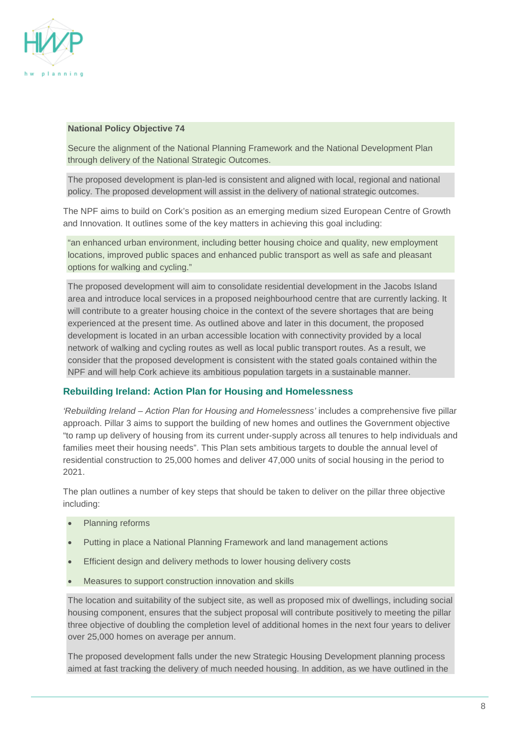

#### **National Policy Objective 74**

Secure the alignment of the National Planning Framework and the National Development Plan through delivery of the National Strategic Outcomes.

The proposed development is plan-led is consistent and aligned with local, regional and national policy. The proposed development will assist in the delivery of national strategic outcomes.

The NPF aims to build on Cork's position as an emerging medium sized European Centre of Growth and Innovation. It outlines some of the key matters in achieving this goal including:

"an enhanced urban environment, including better housing choice and quality, new employment locations, improved public spaces and enhanced public transport as well as safe and pleasant options for walking and cycling."

The proposed development will aim to consolidate residential development in the Jacobs Island area and introduce local services in a proposed neighbourhood centre that are currently lacking. It will contribute to a greater housing choice in the context of the severe shortages that are being experienced at the present time. As outlined above and later in this document, the proposed development is located in an urban accessible location with connectivity provided by a local network of walking and cycling routes as well as local public transport routes. As a result, we consider that the proposed development is consistent with the stated goals contained within the NPF and will help Cork achieve its ambitious population targets in a sustainable manner.

# **Rebuilding Ireland: Action Plan for Housing and Homelessness**

*'Rebuilding Ireland – Action Plan for Housing and Homelessness'* includes a comprehensive five pillar approach. Pillar 3 aims to support the building of new homes and outlines the Government objective "to ramp up delivery of housing from its current under-supply across all tenures to help individuals and families meet their housing needs". This Plan sets ambitious targets to double the annual level of residential construction to 25,000 homes and deliver 47,000 units of social housing in the period to 2021.

The plan outlines a number of key steps that should be taken to deliver on the pillar three objective including:

- Planning reforms
- Putting in place a National Planning Framework and land management actions
- Efficient design and delivery methods to lower housing delivery costs
- Measures to support construction innovation and skills

The location and suitability of the subject site, as well as proposed mix of dwellings, including social housing component, ensures that the subject proposal will contribute positively to meeting the pillar three objective of doubling the completion level of additional homes in the next four years to deliver over 25,000 homes on average per annum.

The proposed development falls under the new Strategic Housing Development planning process aimed at fast tracking the delivery of much needed housing. In addition, as we have outlined in the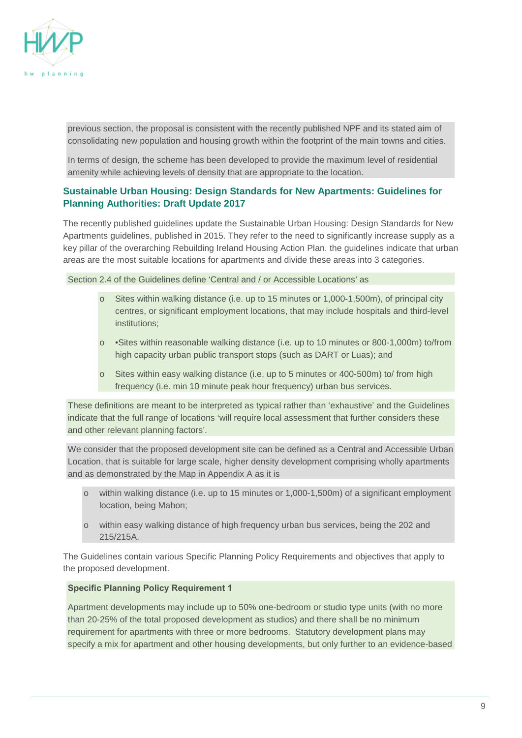

previous section, the proposal is consistent with the recently published NPF and its stated aim of consolidating new population and housing growth within the footprint of the main towns and cities.

In terms of design, the scheme has been developed to provide the maximum level of residential amenity while achieving levels of density that are appropriate to the location.

# **Sustainable Urban Housing: Design Standards for New Apartments: Guidelines for Planning Authorities: Draft Update 2017**

The recently published guidelines update the Sustainable Urban Housing: Design Standards for New Apartments guidelines, published in 2015. They refer to the need to significantly increase supply as a key pillar of the overarching Rebuilding Ireland Housing Action Plan. the guidelines indicate that urban areas are the most suitable locations for apartments and divide these areas into 3 categories.

Section 2.4 of the Guidelines define 'Central and / or Accessible Locations' as

- o Sites within walking distance (i.e. up to 15 minutes or 1,000-1,500m), of principal city centres, or significant employment locations, that may include hospitals and third-level institutions;
- o •Sites within reasonable walking distance (i.e. up to 10 minutes or 800-1,000m) to/from high capacity urban public transport stops (such as DART or Luas); and
- o Sites within easy walking distance (i.e. up to 5 minutes or 400-500m) to/ from high frequency (i.e. min 10 minute peak hour frequency) urban bus services.

These definitions are meant to be interpreted as typical rather than 'exhaustive' and the Guidelines indicate that the full range of locations 'will require local assessment that further considers these and other relevant planning factors'.

We consider that the proposed development site can be defined as a Central and Accessible Urban Location, that is suitable for large scale, higher density development comprising wholly apartments and as demonstrated by the Map in Appendix A as it is

- o within walking distance (i.e. up to 15 minutes or 1,000-1,500m) of a significant employment location, being Mahon;
- o within easy walking distance of high frequency urban bus services, being the 202 and 215/215A.

The Guidelines contain various Specific Planning Policy Requirements and objectives that apply to the proposed development.

#### **Specific Planning Policy Requirement 1**

Apartment developments may include up to 50% one-bedroom or studio type units (with no more than 20-25% of the total proposed development as studios) and there shall be no minimum requirement for apartments with three or more bedrooms. Statutory development plans may specify a mix for apartment and other housing developments, but only further to an evidence-based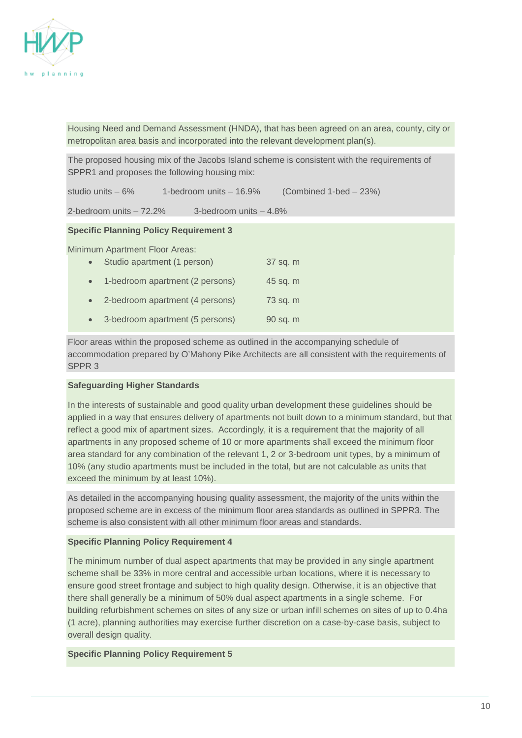

Housing Need and Demand Assessment (HNDA), that has been agreed on an area, county, city or metropolitan area basis and incorporated into the relevant development plan(s).

The proposed housing mix of the Jacobs Island scheme is consistent with the requirements of SPPR1 and proposes the following housing mix:

studio units – 6% 1-bedroom units – 16.9% (Combined 1-bed – 23%)

2-bedroom units – 72.2% 3-bedroom units – 4.8%

#### **Specific Planning Policy Requirement 3**

Minimum Apartment Floor Areas:

| $\bullet$ | Studio apartment (1 person)     | 37 sq. m |
|-----------|---------------------------------|----------|
|           | 1-bedroom apartment (2 persons) | 45 sq. m |
|           | 2-bedroom apartment (4 persons) | 73 sq. m |
|           | 3-bedroom apartment (5 persons) | 90 sq. m |

Floor areas within the proposed scheme as outlined in the accompanying schedule of accommodation prepared by O'Mahony Pike Architects are all consistent with the requirements of SPPR 3

#### **Safeguarding Higher Standards**

In the interests of sustainable and good quality urban development these guidelines should be applied in a way that ensures delivery of apartments not built down to a minimum standard, but that reflect a good mix of apartment sizes. Accordingly, it is a requirement that the majority of all apartments in any proposed scheme of 10 or more apartments shall exceed the minimum floor area standard for any combination of the relevant 1, 2 or 3-bedroom unit types, by a minimum of 10% (any studio apartments must be included in the total, but are not calculable as units that exceed the minimum by at least 10%).

As detailed in the accompanying housing quality assessment, the majority of the units within the proposed scheme are in excess of the minimum floor area standards as outlined in SPPR3. The scheme is also consistent with all other minimum floor areas and standards.

#### **Specific Planning Policy Requirement 4**

The minimum number of dual aspect apartments that may be provided in any single apartment scheme shall be 33% in more central and accessible urban locations, where it is necessary to ensure good street frontage and subject to high quality design. Otherwise, it is an objective that there shall generally be a minimum of 50% dual aspect apartments in a single scheme. For building refurbishment schemes on sites of any size or urban infill schemes on sites of up to 0.4ha (1 acre), planning authorities may exercise further discretion on a case-by-case basis, subject to overall design quality.

#### **Specific Planning Policy Requirement 5**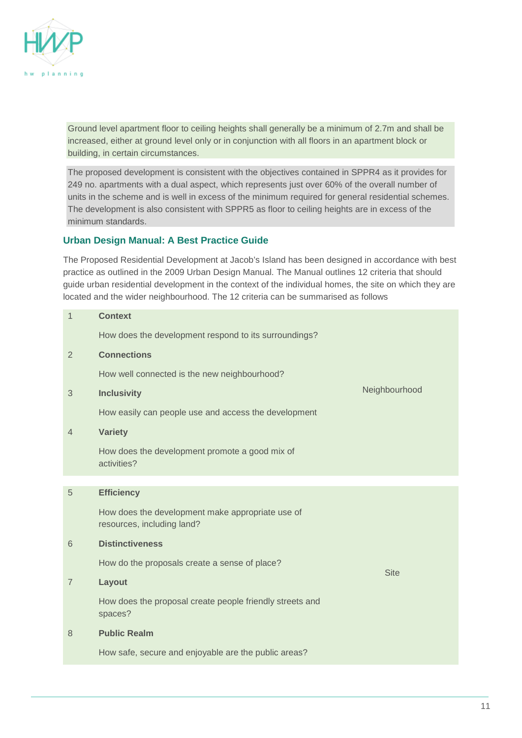

Ground level apartment floor to ceiling heights shall generally be a minimum of 2.7m and shall be increased, either at ground level only or in conjunction with all floors in an apartment block or building, in certain circumstances.

The proposed development is consistent with the objectives contained in SPPR4 as it provides for 249 no. apartments with a dual aspect, which represents just over 60% of the overall number of units in the scheme and is well in excess of the minimum required for general residential schemes. The development is also consistent with SPPR5 as floor to ceiling heights are in excess of the minimum standards.

# **Urban Design Manual: A Best Practice Guide**

The Proposed Residential Development at Jacob's Island has been designed in accordance with best practice as outlined in the 2009 Urban Design Manual. The Manual outlines 12 criteria that should guide urban residential development in the context of the individual homes, the site on which they are located and the wider neighbourhood. The 12 criteria can be summarised as follows

| <b>Context</b>                                                                 |                   |
|--------------------------------------------------------------------------------|-------------------|
| How does the development respond to its surroundings?                          |                   |
| <b>Connections</b>                                                             |                   |
| How well connected is the new neighbourhood?                                   |                   |
| <b>Inclusivity</b>                                                             | Neighbourhood     |
| How easily can people use and access the development                           |                   |
| <b>Variety</b>                                                                 |                   |
| How does the development promote a good mix of<br>activities?                  |                   |
|                                                                                |                   |
| How does the development make appropriate use of<br>resources, including land? |                   |
| <b>Distinctiveness</b>                                                         |                   |
| How do the proposals create a sense of place?                                  | <b>Site</b>       |
| Layout                                                                         |                   |
| How does the proposal create people friendly streets and<br>spaces?            |                   |
| <b>Public Realm</b>                                                            |                   |
| How safe, secure and enjoyable are the public areas?                           |                   |
|                                                                                | <b>Efficiency</b> |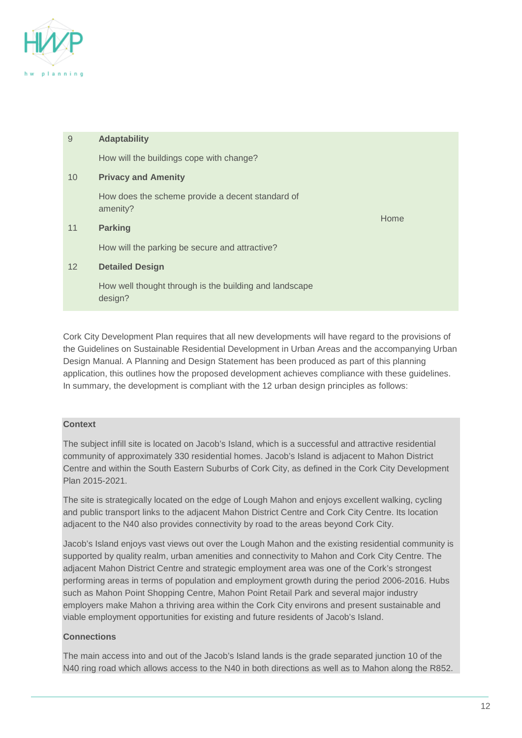

| 9               | <b>Adaptability</b>                                               |      |
|-----------------|-------------------------------------------------------------------|------|
|                 | How will the buildings cope with change?                          |      |
| 10              | <b>Privacy and Amenity</b>                                        |      |
|                 | How does the scheme provide a decent standard of<br>amenity?      | Home |
| 11              | <b>Parking</b>                                                    |      |
|                 | How will the parking be secure and attractive?                    |      |
| 12 <sup>2</sup> | <b>Detailed Design</b>                                            |      |
|                 | How well thought through is the building and landscape<br>design? |      |

Cork City Development Plan requires that all new developments will have regard to the provisions of the Guidelines on Sustainable Residential Development in Urban Areas and the accompanying Urban Design Manual. A Planning and Design Statement has been produced as part of this planning application, this outlines how the proposed development achieves compliance with these guidelines. In summary, the development is compliant with the 12 urban design principles as follows:

# **Context**

The subject infill site is located on Jacob's Island, which is a successful and attractive residential community of approximately 330 residential homes. Jacob's Island is adjacent to Mahon District Centre and within the South Eastern Suburbs of Cork City, as defined in the Cork City Development Plan 2015-2021.

The site is strategically located on the edge of Lough Mahon and enjoys excellent walking, cycling and public transport links to the adjacent Mahon District Centre and Cork City Centre. Its location adjacent to the N40 also provides connectivity by road to the areas beyond Cork City.

Jacob's Island enjoys vast views out over the Lough Mahon and the existing residential community is supported by quality realm, urban amenities and connectivity to Mahon and Cork City Centre. The adjacent Mahon District Centre and strategic employment area was one of the Cork's strongest performing areas in terms of population and employment growth during the period 2006-2016. Hubs such as Mahon Point Shopping Centre, Mahon Point Retail Park and several major industry employers make Mahon a thriving area within the Cork City environs and present sustainable and viable employment opportunities for existing and future residents of Jacob's Island.

# **Connections**

The main access into and out of the Jacob's Island lands is the grade separated junction 10 of the N40 ring road which allows access to the N40 in both directions as well as to Mahon along the R852.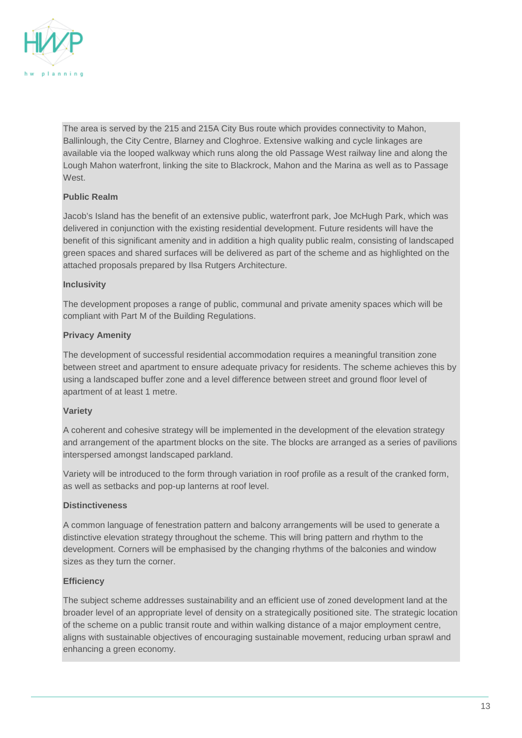

The area is served by the 215 and 215A City Bus route which provides connectivity to Mahon, Ballinlough, the City Centre, Blarney and Cloghroe. Extensive walking and cycle linkages are available via the looped walkway which runs along the old Passage West railway line and along the Lough Mahon waterfront, linking the site to Blackrock, Mahon and the Marina as well as to Passage West.

# **Public Realm**

Jacob's Island has the benefit of an extensive public, waterfront park, Joe McHugh Park, which was delivered in conjunction with the existing residential development. Future residents will have the benefit of this significant amenity and in addition a high quality public realm, consisting of landscaped green spaces and shared surfaces will be delivered as part of the scheme and as highlighted on the attached proposals prepared by Ilsa Rutgers Architecture.

# **Inclusivity**

The development proposes a range of public, communal and private amenity spaces which will be compliant with Part M of the Building Regulations.

# **Privacy Amenity**

The development of successful residential accommodation requires a meaningful transition zone between street and apartment to ensure adequate privacy for residents. The scheme achieves this by using a landscaped buffer zone and a level difference between street and ground floor level of apartment of at least 1 metre.

# **Variety**

A coherent and cohesive strategy will be implemented in the development of the elevation strategy and arrangement of the apartment blocks on the site. The blocks are arranged as a series of pavilions interspersed amongst landscaped parkland.

Variety will be introduced to the form through variation in roof profile as a result of the cranked form, as well as setbacks and pop-up lanterns at roof level.

# **Distinctiveness**

A common language of fenestration pattern and balcony arrangements will be used to generate a distinctive elevation strategy throughout the scheme. This will bring pattern and rhythm to the development. Corners will be emphasised by the changing rhythms of the balconies and window sizes as they turn the corner.

# **Efficiency**

The subject scheme addresses sustainability and an efficient use of zoned development land at the broader level of an appropriate level of density on a strategically positioned site. The strategic location of the scheme on a public transit route and within walking distance of a major employment centre, aligns with sustainable objectives of encouraging sustainable movement, reducing urban sprawl and enhancing a green economy.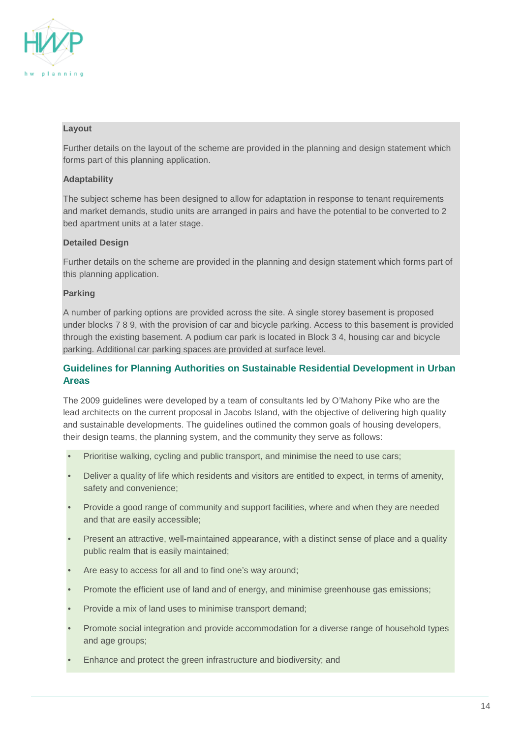

#### **Layout**

Further details on the layout of the scheme are provided in the planning and design statement which forms part of this planning application.

#### **Adaptability**

The subject scheme has been designed to allow for adaptation in response to tenant requirements and market demands, studio units are arranged in pairs and have the potential to be converted to 2 bed apartment units at a later stage.

#### **Detailed Design**

Further details on the scheme are provided in the planning and design statement which forms part of this planning application.

#### **Parking**

A number of parking options are provided across the site. A single storey basement is proposed under blocks 7 8 9, with the provision of car and bicycle parking. Access to this basement is provided through the existing basement. A podium car park is located in Block 3 4, housing car and bicycle parking. Additional car parking spaces are provided at surface level.

# **Guidelines for Planning Authorities on Sustainable Residential Development in Urban Areas**

The 2009 guidelines were developed by a team of consultants led by O'Mahony Pike who are the lead architects on the current proposal in Jacobs Island, with the objective of delivering high quality and sustainable developments. The guidelines outlined the common goals of housing developers, their design teams, the planning system, and the community they serve as follows:

- Prioritise walking, cycling and public transport, and minimise the need to use cars;
- Deliver a quality of life which residents and visitors are entitled to expect, in terms of amenity, safety and convenience;
- Provide a good range of community and support facilities, where and when they are needed and that are easily accessible;
- Present an attractive, well-maintained appearance, with a distinct sense of place and a quality public realm that is easily maintained;
- Are easy to access for all and to find one's way around;
- Promote the efficient use of land and of energy, and minimise greenhouse gas emissions;
- Provide a mix of land uses to minimise transport demand;
- Promote social integration and provide accommodation for a diverse range of household types and age groups;
- Enhance and protect the green infrastructure and biodiversity; and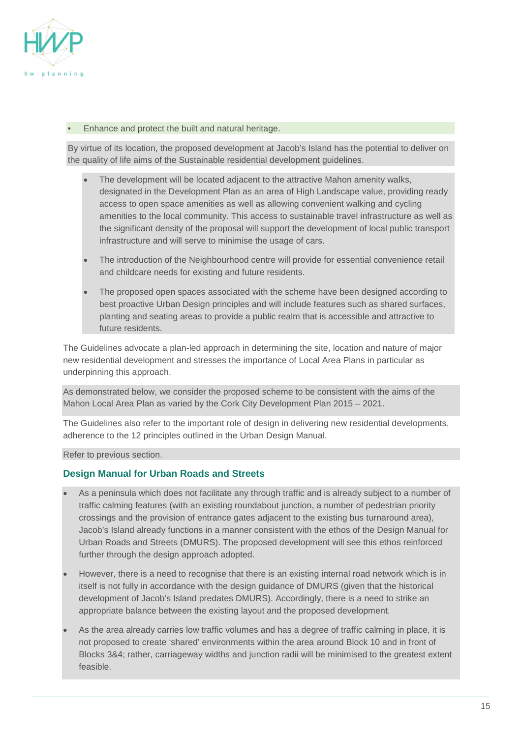

#### • Enhance and protect the built and natural heritage.

By virtue of its location, the proposed development at Jacob's Island has the potential to deliver on the quality of life aims of the Sustainable residential development guidelines.

- The development will be located adjacent to the attractive Mahon amenity walks, designated in the Development Plan as an area of High Landscape value, providing ready access to open space amenities as well as allowing convenient walking and cycling amenities to the local community. This access to sustainable travel infrastructure as well as the significant density of the proposal will support the development of local public transport infrastructure and will serve to minimise the usage of cars.
- The introduction of the Neighbourhood centre will provide for essential convenience retail and childcare needs for existing and future residents.
- The proposed open spaces associated with the scheme have been designed according to best proactive Urban Design principles and will include features such as shared surfaces, planting and seating areas to provide a public realm that is accessible and attractive to future residents.

The Guidelines advocate a plan-led approach in determining the site, location and nature of major new residential development and stresses the importance of Local Area Plans in particular as underpinning this approach.

As demonstrated below, we consider the proposed scheme to be consistent with the aims of the Mahon Local Area Plan as varied by the Cork City Development Plan 2015 – 2021.

The Guidelines also refer to the important role of design in delivering new residential developments, adherence to the 12 principles outlined in the Urban Design Manual.

Refer to previous section.

# **Design Manual for Urban Roads and Streets**

- As a peninsula which does not facilitate any through traffic and is already subject to a number of traffic calming features (with an existing roundabout junction, a number of pedestrian priority crossings and the provision of entrance gates adjacent to the existing bus turnaround area), Jacob's Island already functions in a manner consistent with the ethos of the Design Manual for Urban Roads and Streets (DMURS). The proposed development will see this ethos reinforced further through the design approach adopted.
- However, there is a need to recognise that there is an existing internal road network which is in itself is not fully in accordance with the design guidance of DMURS (given that the historical development of Jacob's Island predates DMURS). Accordingly, there is a need to strike an appropriate balance between the existing layout and the proposed development.
- As the area already carries low traffic volumes and has a degree of traffic calming in place, it is not proposed to create 'shared' environments within the area around Block 10 and in front of Blocks 3&4; rather, carriageway widths and junction radii will be minimised to the greatest extent feasible.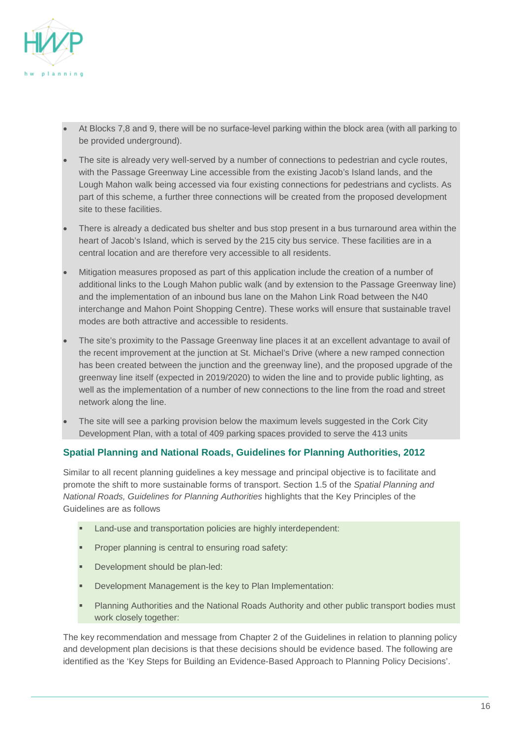

- At Blocks 7,8 and 9, there will be no surface-level parking within the block area (with all parking to be provided underground).
- The site is already very well-served by a number of connections to pedestrian and cycle routes, with the Passage Greenway Line accessible from the existing Jacob's Island lands, and the Lough Mahon walk being accessed via four existing connections for pedestrians and cyclists. As part of this scheme, a further three connections will be created from the proposed development site to these facilities.
- There is already a dedicated bus shelter and bus stop present in a bus turnaround area within the heart of Jacob's Island, which is served by the 215 city bus service. These facilities are in a central location and are therefore very accessible to all residents.
- Mitigation measures proposed as part of this application include the creation of a number of additional links to the Lough Mahon public walk (and by extension to the Passage Greenway line) and the implementation of an inbound bus lane on the Mahon Link Road between the N40 interchange and Mahon Point Shopping Centre). These works will ensure that sustainable travel modes are both attractive and accessible to residents.
- The site's proximity to the Passage Greenway line places it at an excellent advantage to avail of the recent improvement at the junction at St. Michael's Drive (where a new ramped connection has been created between the junction and the greenway line), and the proposed upgrade of the greenway line itself (expected in 2019/2020) to widen the line and to provide public lighting, as well as the implementation of a number of new connections to the line from the road and street network along the line.
- The site will see a parking provision below the maximum levels suggested in the Cork City Development Plan, with a total of 409 parking spaces provided to serve the 413 units

# **Spatial Planning and National Roads, Guidelines for Planning Authorities, 2012**

Similar to all recent planning guidelines a key message and principal objective is to facilitate and promote the shift to more sustainable forms of transport. Section 1.5 of the *Spatial Planning and National Roads, Guidelines for Planning Authorities* highlights that the Key Principles of the Guidelines are as follows

- Land-use and transportation policies are highly interdependent:
- **Proper planning is central to ensuring road safety:**
- Development should be plan-led:
- **•** Development Management is the key to Plan Implementation:
- Planning Authorities and the National Roads Authority and other public transport bodies must work closely together:

The key recommendation and message from Chapter 2 of the Guidelines in relation to planning policy and development plan decisions is that these decisions should be evidence based. The following are identified as the 'Key Steps for Building an Evidence-Based Approach to Planning Policy Decisions'.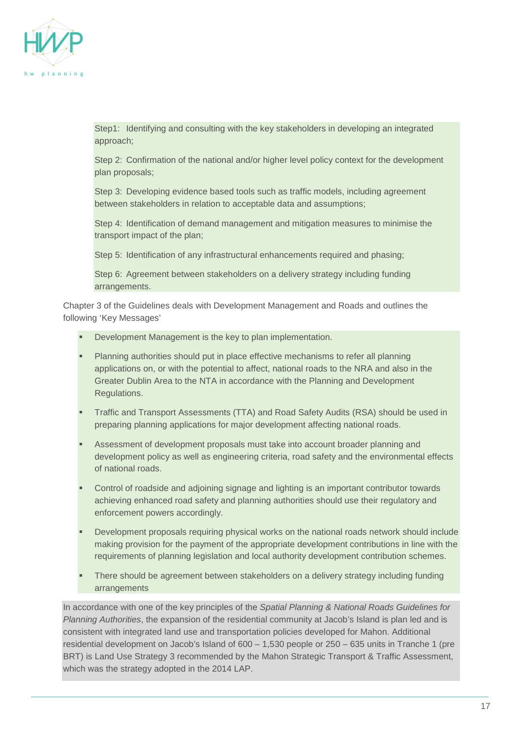

Step1: Identifying and consulting with the key stakeholders in developing an integrated approach;

Step 2: Confirmation of the national and/or higher level policy context for the development plan proposals;

Step 3: Developing evidence based tools such as traffic models, including agreement between stakeholders in relation to acceptable data and assumptions;

Step 4: Identification of demand management and mitigation measures to minimise the transport impact of the plan;

Step 5: Identification of any infrastructural enhancements required and phasing;

Step 6: Agreement between stakeholders on a delivery strategy including funding arrangements.

Chapter 3 of the Guidelines deals with Development Management and Roads and outlines the following 'Key Messages'

- Development Management is the key to plan implementation.
- Planning authorities should put in place effective mechanisms to refer all planning applications on, or with the potential to affect, national roads to the NRA and also in the Greater Dublin Area to the NTA in accordance with the Planning and Development Regulations.
- Traffic and Transport Assessments (TTA) and Road Safety Audits (RSA) should be used in preparing planning applications for major development affecting national roads.
- Assessment of development proposals must take into account broader planning and development policy as well as engineering criteria, road safety and the environmental effects of national roads.
- Control of roadside and adjoining signage and lighting is an important contributor towards achieving enhanced road safety and planning authorities should use their regulatory and enforcement powers accordingly.
- Development proposals requiring physical works on the national roads network should include making provision for the payment of the appropriate development contributions in line with the requirements of planning legislation and local authority development contribution schemes.
- There should be agreement between stakeholders on a delivery strategy including funding arrangements

In accordance with one of the key principles of the *Spatial Planning & National Roads Guidelines for Planning Authorities*, the expansion of the residential community at Jacob's Island is plan led and is consistent with integrated land use and transportation policies developed for Mahon. Additional residential development on Jacob's Island of 600 – 1,530 people or 250 – 635 units in Tranche 1 (pre BRT) is Land Use Strategy 3 recommended by the Mahon Strategic Transport & Traffic Assessment, which was the strategy adopted in the 2014 LAP.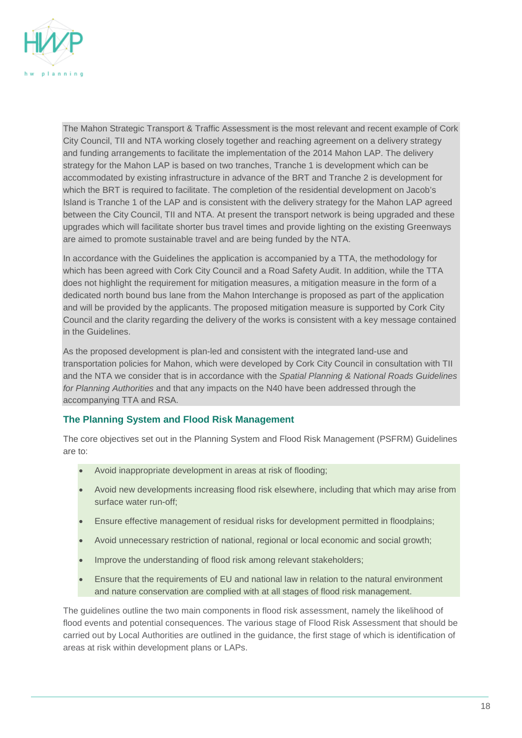

The Mahon Strategic Transport & Traffic Assessment is the most relevant and recent example of Cork City Council, TII and NTA working closely together and reaching agreement on a delivery strategy and funding arrangements to facilitate the implementation of the 2014 Mahon LAP. The delivery strategy for the Mahon LAP is based on two tranches, Tranche 1 is development which can be accommodated by existing infrastructure in advance of the BRT and Tranche 2 is development for which the BRT is required to facilitate. The completion of the residential development on Jacob's Island is Tranche 1 of the LAP and is consistent with the delivery strategy for the Mahon LAP agreed between the City Council, TII and NTA. At present the transport network is being upgraded and these upgrades which will facilitate shorter bus travel times and provide lighting on the existing Greenways are aimed to promote sustainable travel and are being funded by the NTA.

In accordance with the Guidelines the application is accompanied by a TTA, the methodology for which has been agreed with Cork City Council and a Road Safety Audit. In addition, while the TTA does not highlight the requirement for mitigation measures, a mitigation measure in the form of a dedicated north bound bus lane from the Mahon Interchange is proposed as part of the application and will be provided by the applicants. The proposed mitigation measure is supported by Cork City Council and the clarity regarding the delivery of the works is consistent with a key message contained in the Guidelines.

As the proposed development is plan-led and consistent with the integrated land-use and transportation policies for Mahon, which were developed by Cork City Council in consultation with TII and the NTA we consider that is in accordance with the *Spatial Planning & National Roads Guidelines for Planning Authorities* and that any impacts on the N40 have been addressed through the accompanying TTA and RSA.

# **The Planning System and Flood Risk Management**

The core objectives set out in the Planning System and Flood Risk Management (PSFRM) Guidelines are to:

- Avoid inappropriate development in areas at risk of flooding;
- Avoid new developments increasing flood risk elsewhere, including that which may arise from surface water run-off;
- Ensure effective management of residual risks for development permitted in floodplains;
- Avoid unnecessary restriction of national, regional or local economic and social growth;
- Improve the understanding of flood risk among relevant stakeholders;
- Ensure that the requirements of EU and national law in relation to the natural environment and nature conservation are complied with at all stages of flood risk management.

The guidelines outline the two main components in flood risk assessment, namely the likelihood of flood events and potential consequences. The various stage of Flood Risk Assessment that should be carried out by Local Authorities are outlined in the guidance, the first stage of which is identification of areas at risk within development plans or LAPs.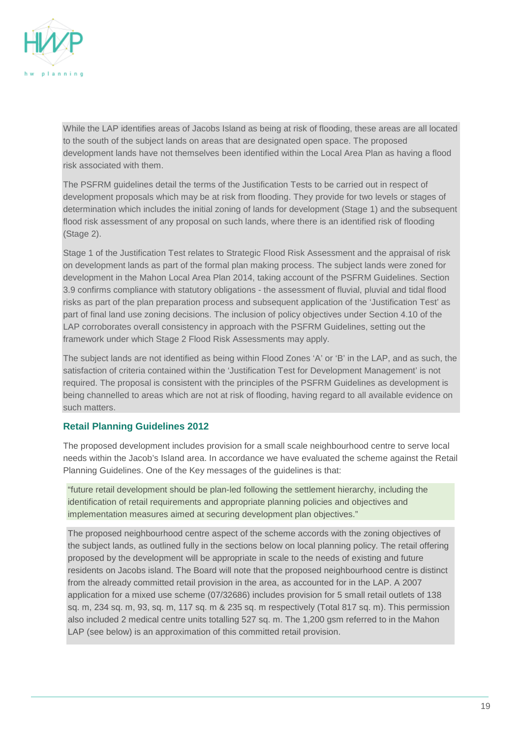

While the LAP identifies areas of Jacobs Island as being at risk of flooding, these areas are all located to the south of the subject lands on areas that are designated open space. The proposed development lands have not themselves been identified within the Local Area Plan as having a flood risk associated with them.

The PSFRM guidelines detail the terms of the Justification Tests to be carried out in respect of development proposals which may be at risk from flooding. They provide for two levels or stages of determination which includes the initial zoning of lands for development (Stage 1) and the subsequent flood risk assessment of any proposal on such lands, where there is an identified risk of flooding (Stage 2).

Stage 1 of the Justification Test relates to Strategic Flood Risk Assessment and the appraisal of risk on development lands as part of the formal plan making process. The subject lands were zoned for development in the Mahon Local Area Plan 2014, taking account of the PSFRM Guidelines. Section 3.9 confirms compliance with statutory obligations - the assessment of fluvial, pluvial and tidal flood risks as part of the plan preparation process and subsequent application of the 'Justification Test' as part of final land use zoning decisions. The inclusion of policy objectives under Section 4.10 of the LAP corroborates overall consistency in approach with the PSFRM Guidelines, setting out the framework under which Stage 2 Flood Risk Assessments may apply.

The subject lands are not identified as being within Flood Zones 'A' or 'B' in the LAP, and as such, the satisfaction of criteria contained within the 'Justification Test for Development Management' is not required. The proposal is consistent with the principles of the PSFRM Guidelines as development is being channelled to areas which are not at risk of flooding, having regard to all available evidence on such matters.

# **Retail Planning Guidelines 2012**

The proposed development includes provision for a small scale neighbourhood centre to serve local needs within the Jacob's Island area. In accordance we have evaluated the scheme against the Retail Planning Guidelines. One of the Key messages of the guidelines is that:

"future retail development should be plan-led following the settlement hierarchy, including the identification of retail requirements and appropriate planning policies and objectives and implementation measures aimed at securing development plan objectives."

The proposed neighbourhood centre aspect of the scheme accords with the zoning objectives of the subject lands, as outlined fully in the sections below on local planning policy. The retail offering proposed by the development will be appropriate in scale to the needs of existing and future residents on Jacobs island. The Board will note that the proposed neighbourhood centre is distinct from the already committed retail provision in the area, as accounted for in the LAP. A 2007 application for a mixed use scheme (07/32686) includes provision for 5 small retail outlets of 138 sq. m, 234 sq. m, 93, sq. m, 117 sq. m & 235 sq. m respectively (Total 817 sq. m). This permission also included 2 medical centre units totalling 527 sq. m. The 1,200 gsm referred to in the Mahon LAP (see below) is an approximation of this committed retail provision.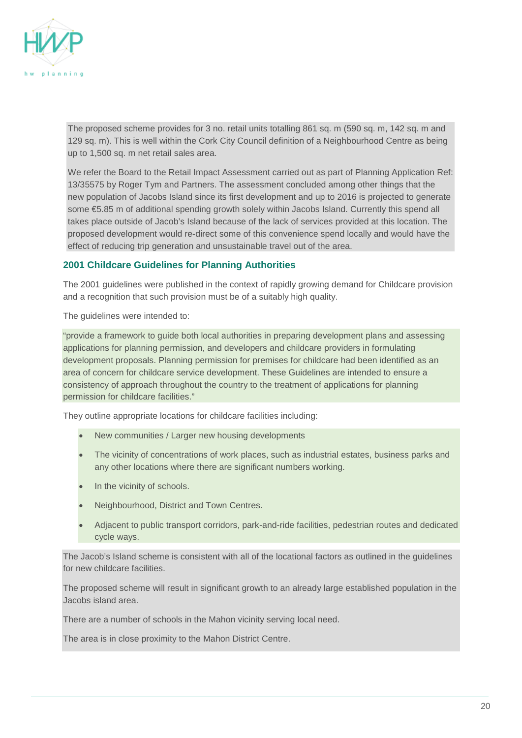

The proposed scheme provides for 3 no. retail units totalling 861 sq. m (590 sq. m, 142 sq. m and 129 sq. m). This is well within the Cork City Council definition of a Neighbourhood Centre as being up to 1,500 sq. m net retail sales area.

We refer the Board to the Retail Impact Assessment carried out as part of Planning Application Ref: 13/35575 by Roger Tym and Partners. The assessment concluded among other things that the new population of Jacobs Island since its first development and up to 2016 is projected to generate some €5.85 m of additional spending growth solely within Jacobs Island. Currently this spend all takes place outside of Jacob's Island because of the lack of services provided at this location. The proposed development would re-direct some of this convenience spend locally and would have the effect of reducing trip generation and unsustainable travel out of the area.

# **2001 Childcare Guidelines for Planning Authorities**

The 2001 guidelines were published in the context of rapidly growing demand for Childcare provision and a recognition that such provision must be of a suitably high quality.

The guidelines were intended to:

"provide a framework to guide both local authorities in preparing development plans and assessing applications for planning permission, and developers and childcare providers in formulating development proposals. Planning permission for premises for childcare had been identified as an area of concern for childcare service development. These Guidelines are intended to ensure a consistency of approach throughout the country to the treatment of applications for planning permission for childcare facilities."

They outline appropriate locations for childcare facilities including:

- New communities / Larger new housing developments
- The vicinity of concentrations of work places, such as industrial estates, business parks and any other locations where there are significant numbers working.
- In the vicinity of schools.
- Neighbourhood, District and Town Centres.
- Adjacent to public transport corridors, park-and-ride facilities, pedestrian routes and dedicated cycle ways.

The Jacob's Island scheme is consistent with all of the locational factors as outlined in the guidelines for new childcare facilities.

The proposed scheme will result in significant growth to an already large established population in the Jacobs island area.

There are a number of schools in the Mahon vicinity serving local need.

The area is in close proximity to the Mahon District Centre.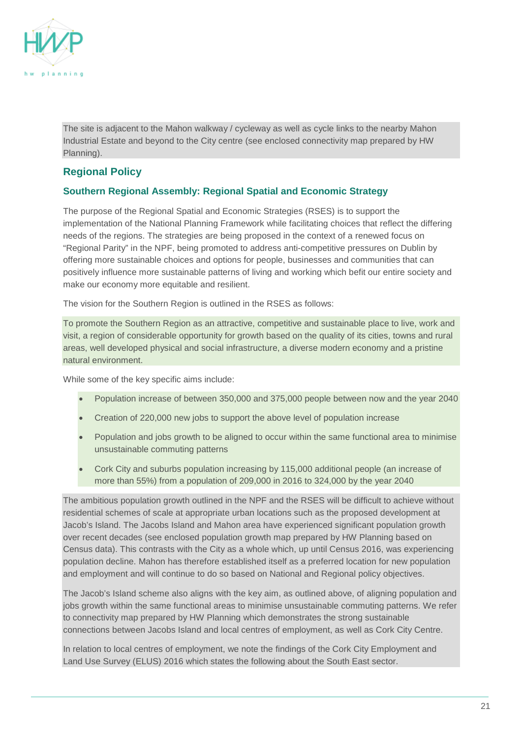

The site is adjacent to the Mahon walkway / cycleway as well as cycle links to the nearby Mahon Industrial Estate and beyond to the City centre (see enclosed connectivity map prepared by HW Planning).

# **Regional Policy**

# **Southern Regional Assembly: Regional Spatial and Economic Strategy**

The purpose of the Regional Spatial and Economic Strategies (RSES) is to support the implementation of the National Planning Framework while facilitating choices that reflect the differing needs of the regions. The strategies are being proposed in the context of a renewed focus on "Regional Parity" in the NPF, being promoted to address anti-competitive pressures on Dublin by offering more sustainable choices and options for people, businesses and communities that can positively influence more sustainable patterns of living and working which befit our entire society and make our economy more equitable and resilient.

The vision for the Southern Region is outlined in the RSES as follows:

To promote the Southern Region as an attractive, competitive and sustainable place to live, work and visit, a region of considerable opportunity for growth based on the quality of its cities, towns and rural areas, well developed physical and social infrastructure, a diverse modern economy and a pristine natural environment.

While some of the key specific aims include:

- Population increase of between 350,000 and 375,000 people between now and the year 2040
- Creation of 220,000 new jobs to support the above level of population increase
- Population and jobs growth to be aligned to occur within the same functional area to minimise unsustainable commuting patterns
- Cork City and suburbs population increasing by 115,000 additional people (an increase of more than 55%) from a population of 209,000 in 2016 to 324,000 by the year 2040

The ambitious population growth outlined in the NPF and the RSES will be difficult to achieve without residential schemes of scale at appropriate urban locations such as the proposed development at Jacob's Island. The Jacobs Island and Mahon area have experienced significant population growth over recent decades (see enclosed population growth map prepared by HW Planning based on Census data). This contrasts with the City as a whole which, up until Census 2016, was experiencing population decline. Mahon has therefore established itself as a preferred location for new population and employment and will continue to do so based on National and Regional policy objectives.

The Jacob's Island scheme also aligns with the key aim, as outlined above, of aligning population and jobs growth within the same functional areas to minimise unsustainable commuting patterns. We refer to connectivity map prepared by HW Planning which demonstrates the strong sustainable connections between Jacobs Island and local centres of employment, as well as Cork City Centre.

In relation to local centres of employment, we note the findings of the Cork City Employment and Land Use Survey (ELUS) 2016 which states the following about the South East sector.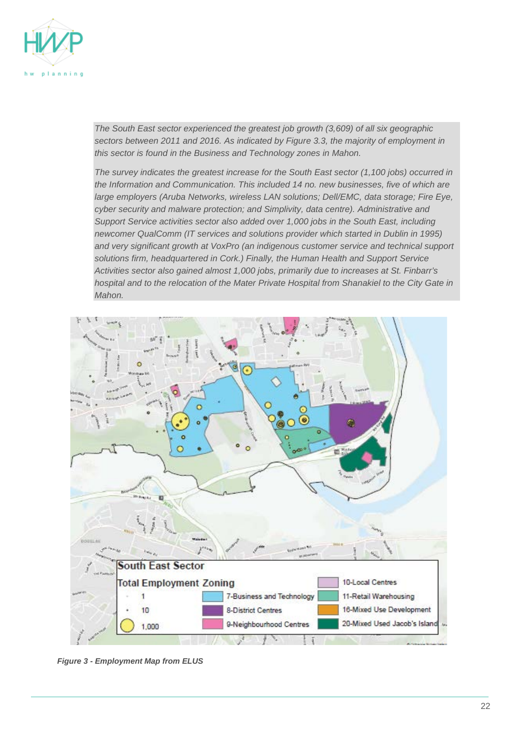

*The South East sector experienced the greatest job growth (3,609) of all six geographic sectors between 2011 and 2016. As indicated by Figure 3.3, the majority of employment in this sector is found in the Business and Technology zones in Mahon.*

*The survey indicates the greatest increase for the South East sector (1,100 jobs) occurred in the Information and Communication. This included 14 no. new businesses, five of which are large employers (Aruba Networks, wireless LAN solutions; Dell/EMC, data storage; Fire Eye, cyber security and malware protection; and Simplivity, data centre). Administrative and Support Service activities sector also added over 1,000 jobs in the South East, including newcomer QualComm (IT services and solutions provider which started in Dublin in 1995) and very significant growth at VoxPro (an indigenous customer service and technical support solutions firm, headquartered in Cork.) Finally, the Human Health and Support Service Activities sector also gained almost 1,000 jobs, primarily due to increases at St. Finbarr's hospital and to the relocation of the Mater Private Hospital from Shanakiel to the City Gate in Mahon.*



*Figure 3 - Employment Map from ELUS*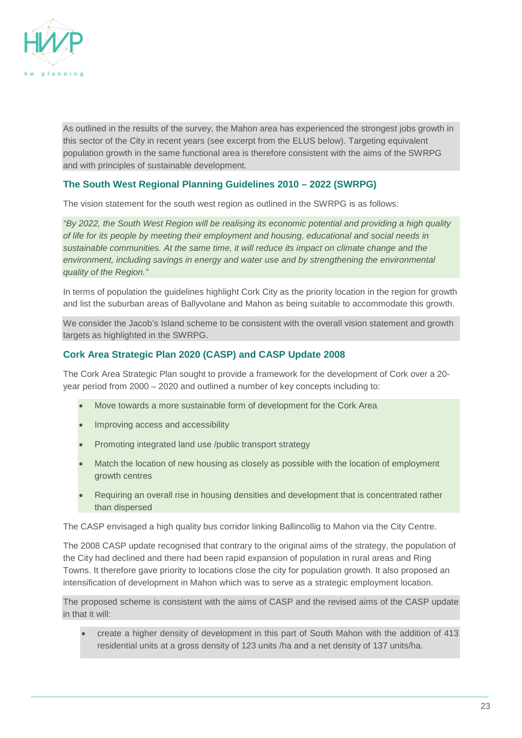

As outlined in the results of the survey, the Mahon area has experienced the strongest jobs growth in this sector of the City in recent years (see excerpt from the ELUS below). Targeting equivalent population growth in the same functional area is therefore consistent with the aims of the SWRPG and with principles of sustainable development.

# **The South West Regional Planning Guidelines 2010 – 2022 (SWRPG)**

The vision statement for the south west region as outlined in the SWRPG is as follows:

*"By 2022, the South West Region will be realising its economic potential and providing a high quality of life for its people by meeting their employment and housing, educational and social needs in sustainable communities. At the same time, it will reduce its impact on climate change and the environment, including savings in energy and water use and by strengthening the environmental quality of the Region."*

In terms of population the guidelines highlight Cork City as the priority location in the region for growth and list the suburban areas of Ballyvolane and Mahon as being suitable to accommodate this growth.

We consider the Jacob's Island scheme to be consistent with the overall vision statement and growth targets as highlighted in the SWRPG.

# **Cork Area Strategic Plan 2020 (CASP) and CASP Update 2008**

The Cork Area Strategic Plan sought to provide a framework for the development of Cork over a 20 year period from 2000 – 2020 and outlined a number of key concepts including to:

- Move towards a more sustainable form of development for the Cork Area
- Improving access and accessibility
- Promoting integrated land use /public transport strategy
- Match the location of new housing as closely as possible with the location of employment growth centres
- Requiring an overall rise in housing densities and development that is concentrated rather than dispersed

The CASP envisaged a high quality bus corridor linking Ballincollig to Mahon via the City Centre.

The 2008 CASP update recognised that contrary to the original aims of the strategy, the population of the City had declined and there had been rapid expansion of population in rural areas and Ring Towns. It therefore gave priority to locations close the city for population growth. It also proposed an intensification of development in Mahon which was to serve as a strategic employment location.

The proposed scheme is consistent with the aims of CASP and the revised aims of the CASP update in that it will:

• create a higher density of development in this part of South Mahon with the addition of 413 residential units at a gross density of 123 units /ha and a net density of 137 units/ha.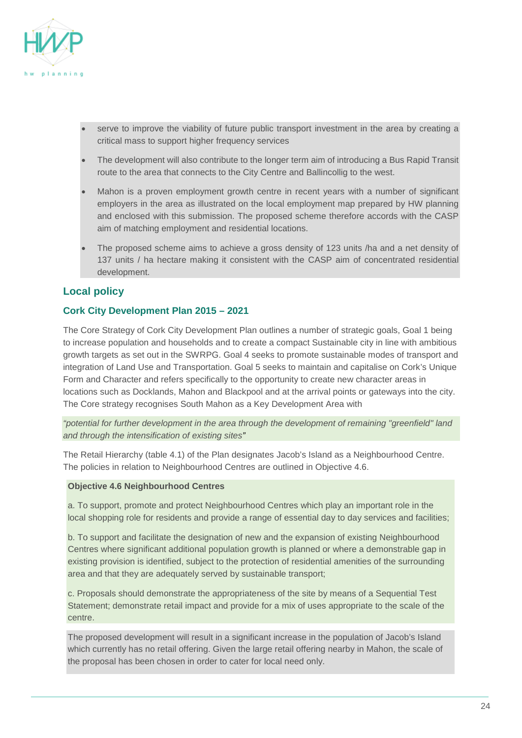

- serve to improve the viability of future public transport investment in the area by creating a critical mass to support higher frequency services
- The development will also contribute to the longer term aim of introducing a Bus Rapid Transit route to the area that connects to the City Centre and Ballincollig to the west.
- Mahon is a proven employment growth centre in recent years with a number of significant employers in the area as illustrated on the local employment map prepared by HW planning and enclosed with this submission. The proposed scheme therefore accords with the CASP aim of matching employment and residential locations.
- The proposed scheme aims to achieve a gross density of 123 units /ha and a net density of 137 units / ha hectare making it consistent with the CASP aim of concentrated residential development.

# **Local policy**

# **Cork City Development Plan 2015 – 2021**

The Core Strategy of Cork City Development Plan outlines a number of strategic goals, Goal 1 being to increase population and households and to create a compact Sustainable city in line with ambitious growth targets as set out in the SWRPG. Goal 4 seeks to promote sustainable modes of transport and integration of Land Use and Transportation. Goal 5 seeks to maintain and capitalise on Cork's Unique Form and Character and refers specifically to the opportunity to create new character areas in locations such as Docklands, Mahon and Blackpool and at the arrival points or gateways into the city. The Core strategy recognises South Mahon as a Key Development Area with

*"potential for further development in the area through the development of remaining "greenfield" land and through the intensification of existing sites"*

The Retail Hierarchy (table 4.1) of the Plan designates Jacob's Island as a Neighbourhood Centre. The policies in relation to Neighbourhood Centres are outlined in Objective 4.6.

#### **Objective 4.6 Neighbourhood Centres**

a. To support, promote and protect Neighbourhood Centres which play an important role in the local shopping role for residents and provide a range of essential day to day services and facilities;

b. To support and facilitate the designation of new and the expansion of existing Neighbourhood Centres where significant additional population growth is planned or where a demonstrable gap in existing provision is identified, subject to the protection of residential amenities of the surrounding area and that they are adequately served by sustainable transport;

c. Proposals should demonstrate the appropriateness of the site by means of a Sequential Test Statement; demonstrate retail impact and provide for a mix of uses appropriate to the scale of the centre.

The proposed development will result in a significant increase in the population of Jacob's Island which currently has no retail offering. Given the large retail offering nearby in Mahon, the scale of the proposal has been chosen in order to cater for local need only.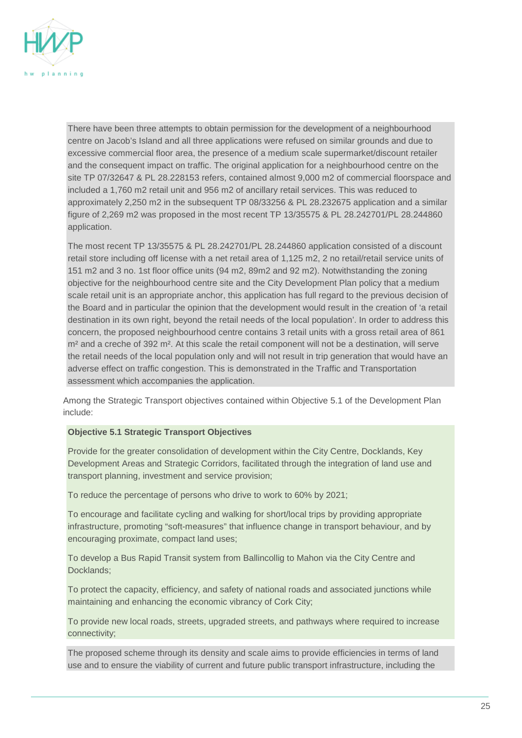

There have been three attempts to obtain permission for the development of a neighbourhood centre on Jacob's Island and all three applications were refused on similar grounds and due to excessive commercial floor area, the presence of a medium scale supermarket/discount retailer and the consequent impact on traffic. The original application for a neighbourhood centre on the site TP 07/32647 & PL 28.228153 refers, contained almost 9,000 m2 of commercial floorspace and included a 1,760 m2 retail unit and 956 m2 of ancillary retail services. This was reduced to approximately 2,250 m2 in the subsequent TP 08/33256 & PL 28.232675 application and a similar figure of 2,269 m2 was proposed in the most recent TP 13/35575 & PL 28.242701/PL 28.244860 application.

The most recent TP 13/35575 & PL 28.242701/PL 28.244860 application consisted of a discount retail store including off license with a net retail area of 1,125 m2, 2 no retail/retail service units of 151 m2 and 3 no. 1st floor office units (94 m2, 89m2 and 92 m2). Notwithstanding the zoning objective for the neighbourhood centre site and the City Development Plan policy that a medium scale retail unit is an appropriate anchor, this application has full regard to the previous decision of the Board and in particular the opinion that the development would result in the creation of 'a retail destination in its own right, beyond the retail needs of the local population'. In order to address this concern, the proposed neighbourhood centre contains 3 retail units with a gross retail area of 861 m<sup>2</sup> and a creche of 392 m<sup>2</sup>. At this scale the retail component will not be a destination, will serve the retail needs of the local population only and will not result in trip generation that would have an adverse effect on traffic congestion. This is demonstrated in the Traffic and Transportation assessment which accompanies the application.

Among the Strategic Transport objectives contained within Objective 5.1 of the Development Plan include:

#### **Objective 5.1 Strategic Transport Objectives**

Provide for the greater consolidation of development within the City Centre, Docklands, Key Development Areas and Strategic Corridors, facilitated through the integration of land use and transport planning, investment and service provision;

To reduce the percentage of persons who drive to work to 60% by 2021;

To encourage and facilitate cycling and walking for short/local trips by providing appropriate infrastructure, promoting "soft-measures" that influence change in transport behaviour, and by encouraging proximate, compact land uses;

To develop a Bus Rapid Transit system from Ballincollig to Mahon via the City Centre and Docklands;

To protect the capacity, efficiency, and safety of national roads and associated junctions while maintaining and enhancing the economic vibrancy of Cork City;

To provide new local roads, streets, upgraded streets, and pathways where required to increase connectivity;

The proposed scheme through its density and scale aims to provide efficiencies in terms of land use and to ensure the viability of current and future public transport infrastructure, including the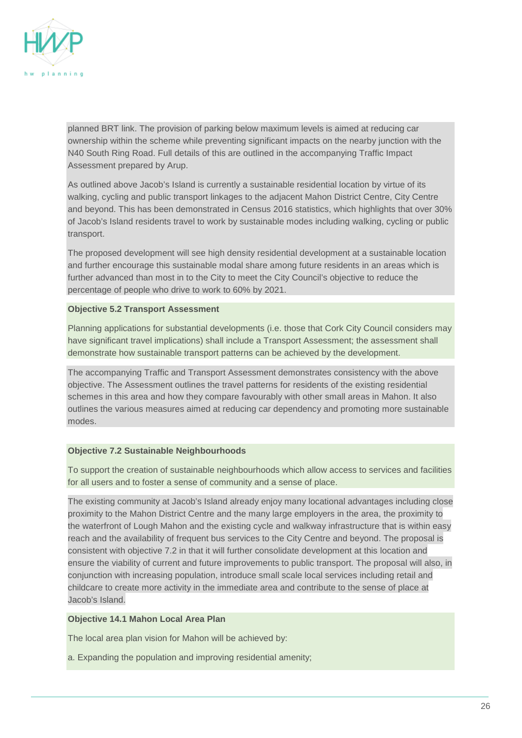

planned BRT link. The provision of parking below maximum levels is aimed at reducing car ownership within the scheme while preventing significant impacts on the nearby junction with the N40 South Ring Road. Full details of this are outlined in the accompanying Traffic Impact Assessment prepared by Arup.

As outlined above Jacob's Island is currently a sustainable residential location by virtue of its walking, cycling and public transport linkages to the adjacent Mahon District Centre, City Centre and beyond. This has been demonstrated in Census 2016 statistics, which highlights that over 30% of Jacob's Island residents travel to work by sustainable modes including walking, cycling or public transport.

The proposed development will see high density residential development at a sustainable location and further encourage this sustainable modal share among future residents in an areas which is further advanced than most in to the City to meet the City Council's objective to reduce the percentage of people who drive to work to 60% by 2021.

#### **Objective 5.2 Transport Assessment**

Planning applications for substantial developments (i.e. those that Cork City Council considers may have significant travel implications) shall include a Transport Assessment; the assessment shall demonstrate how sustainable transport patterns can be achieved by the development.

The accompanying Traffic and Transport Assessment demonstrates consistency with the above objective. The Assessment outlines the travel patterns for residents of the existing residential schemes in this area and how they compare favourably with other small areas in Mahon. It also outlines the various measures aimed at reducing car dependency and promoting more sustainable modes.

#### **Objective 7.2 Sustainable Neighbourhoods**

To support the creation of sustainable neighbourhoods which allow access to services and facilities for all users and to foster a sense of community and a sense of place.

The existing community at Jacob's Island already enjoy many locational advantages including close proximity to the Mahon District Centre and the many large employers in the area, the proximity to the waterfront of Lough Mahon and the existing cycle and walkway infrastructure that is within easy reach and the availability of frequent bus services to the City Centre and beyond. The proposal is consistent with objective 7.2 in that it will further consolidate development at this location and ensure the viability of current and future improvements to public transport. The proposal will also, in conjunction with increasing population, introduce small scale local services including retail and childcare to create more activity in the immediate area and contribute to the sense of place at Jacob's Island.

#### **Objective 14.1 Mahon Local Area Plan**

The local area plan vision for Mahon will be achieved by:

a. Expanding the population and improving residential amenity;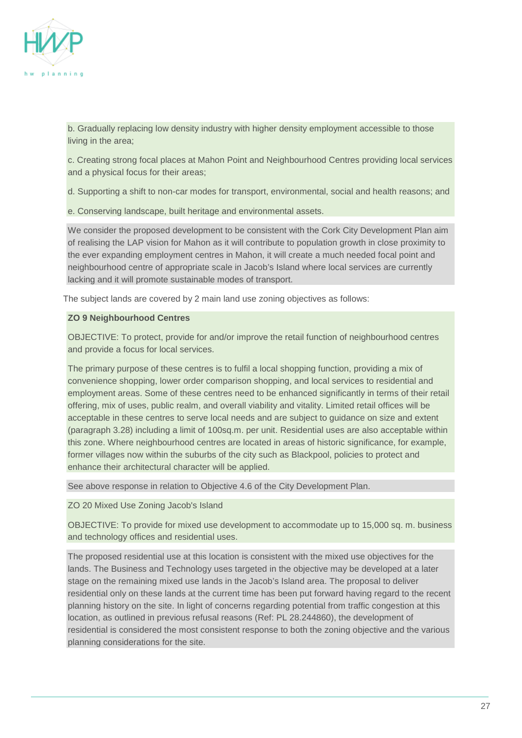

b. Gradually replacing low density industry with higher density employment accessible to those living in the area;

c. Creating strong focal places at Mahon Point and Neighbourhood Centres providing local services and a physical focus for their areas;

d. Supporting a shift to non-car modes for transport, environmental, social and health reasons; and

e. Conserving landscape, built heritage and environmental assets.

We consider the proposed development to be consistent with the Cork City Development Plan aim of realising the LAP vision for Mahon as it will contribute to population growth in close proximity to the ever expanding employment centres in Mahon, it will create a much needed focal point and neighbourhood centre of appropriate scale in Jacob's Island where local services are currently lacking and it will promote sustainable modes of transport.

The subject lands are covered by 2 main land use zoning objectives as follows:

#### **ZO 9 Neighbourhood Centres**

OBJECTIVE: To protect, provide for and/or improve the retail function of neighbourhood centres and provide a focus for local services.

The primary purpose of these centres is to fulfil a local shopping function, providing a mix of convenience shopping, lower order comparison shopping, and local services to residential and employment areas. Some of these centres need to be enhanced significantly in terms of their retail offering, mix of uses, public realm, and overall viability and vitality. Limited retail offices will be acceptable in these centres to serve local needs and are subject to guidance on size and extent (paragraph 3.28) including a limit of 100sq.m. per unit. Residential uses are also acceptable within this zone. Where neighbourhood centres are located in areas of historic significance, for example, former villages now within the suburbs of the city such as Blackpool, policies to protect and enhance their architectural character will be applied.

See above response in relation to Objective 4.6 of the City Development Plan.

ZO 20 Mixed Use Zoning Jacob's Island

OBJECTIVE: To provide for mixed use development to accommodate up to 15,000 sq. m. business and technology offices and residential uses.

The proposed residential use at this location is consistent with the mixed use objectives for the lands. The Business and Technology uses targeted in the objective may be developed at a later stage on the remaining mixed use lands in the Jacob's Island area. The proposal to deliver residential only on these lands at the current time has been put forward having regard to the recent planning history on the site. In light of concerns regarding potential from traffic congestion at this location, as outlined in previous refusal reasons (Ref: PL 28.244860), the development of residential is considered the most consistent response to both the zoning objective and the various planning considerations for the site.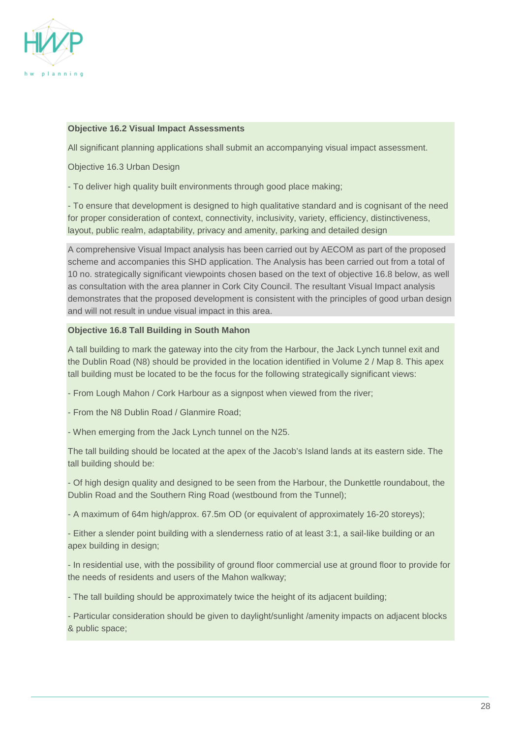

#### **Objective 16.2 Visual Impact Assessments**

All significant planning applications shall submit an accompanying visual impact assessment.

Objective 16.3 Urban Design

- To deliver high quality built environments through good place making;

- To ensure that development is designed to high qualitative standard and is cognisant of the need for proper consideration of context, connectivity, inclusivity, variety, efficiency, distinctiveness, layout, public realm, adaptability, privacy and amenity, parking and detailed design

A comprehensive Visual Impact analysis has been carried out by AECOM as part of the proposed scheme and accompanies this SHD application. The Analysis has been carried out from a total of 10 no. strategically significant viewpoints chosen based on the text of objective 16.8 below, as well as consultation with the area planner in Cork City Council. The resultant Visual Impact analysis demonstrates that the proposed development is consistent with the principles of good urban design and will not result in undue visual impact in this area.

#### **Objective 16.8 Tall Building in South Mahon**

A tall building to mark the gateway into the city from the Harbour, the Jack Lynch tunnel exit and the Dublin Road (N8) should be provided in the location identified in Volume 2 / Map 8. This apex tall building must be located to be the focus for the following strategically significant views:

- From Lough Mahon / Cork Harbour as a signpost when viewed from the river;

- From the N8 Dublin Road / Glanmire Road;

- When emerging from the Jack Lynch tunnel on the N25.

The tall building should be located at the apex of the Jacob's Island lands at its eastern side. The tall building should be:

- Of high design quality and designed to be seen from the Harbour, the Dunkettle roundabout, the Dublin Road and the Southern Ring Road (westbound from the Tunnel);

- A maximum of 64m high/approx. 67.5m OD (or equivalent of approximately 16-20 storeys);

- Either a slender point building with a slenderness ratio of at least 3:1, a sail-like building or an apex building in design;

- In residential use, with the possibility of ground floor commercial use at ground floor to provide for the needs of residents and users of the Mahon walkway;

- The tall building should be approximately twice the height of its adjacent building;

- Particular consideration should be given to daylight/sunlight /amenity impacts on adjacent blocks & public space;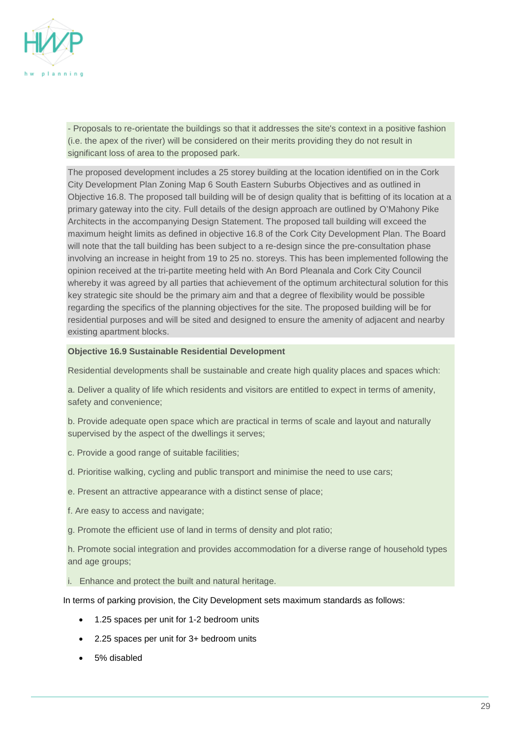

- Proposals to re-orientate the buildings so that it addresses the site's context in a positive fashion (i.e. the apex of the river) will be considered on their merits providing they do not result in significant loss of area to the proposed park.

The proposed development includes a 25 storey building at the location identified on in the Cork City Development Plan Zoning Map 6 South Eastern Suburbs Objectives and as outlined in Objective 16.8. The proposed tall building will be of design quality that is befitting of its location at a primary gateway into the city. Full details of the design approach are outlined by O'Mahony Pike Architects in the accompanying Design Statement. The proposed tall building will exceed the maximum height limits as defined in objective 16.8 of the Cork City Development Plan. The Board will note that the tall building has been subject to a re-design since the pre-consultation phase involving an increase in height from 19 to 25 no. storeys. This has been implemented following the opinion received at the tri-partite meeting held with An Bord Pleanala and Cork City Council whereby it was agreed by all parties that achievement of the optimum architectural solution for this key strategic site should be the primary aim and that a degree of flexibility would be possible regarding the specifics of the planning objectives for the site. The proposed building will be for residential purposes and will be sited and designed to ensure the amenity of adjacent and nearby existing apartment blocks.

#### **Objective 16.9 Sustainable Residential Development**

Residential developments shall be sustainable and create high quality places and spaces which:

a. Deliver a quality of life which residents and visitors are entitled to expect in terms of amenity, safety and convenience;

b. Provide adequate open space which are practical in terms of scale and layout and naturally supervised by the aspect of the dwellings it serves;

- c. Provide a good range of suitable facilities;
- d. Prioritise walking, cycling and public transport and minimise the need to use cars;
- e. Present an attractive appearance with a distinct sense of place;
- f. Are easy to access and navigate;
- g. Promote the efficient use of land in terms of density and plot ratio;

h. Promote social integration and provides accommodation for a diverse range of household types and age groups;

i. Enhance and protect the built and natural heritage.

In terms of parking provision, the City Development sets maximum standards as follows:

- 1.25 spaces per unit for 1-2 bedroom units
- 2.25 spaces per unit for 3+ bedroom units
- 5% disabled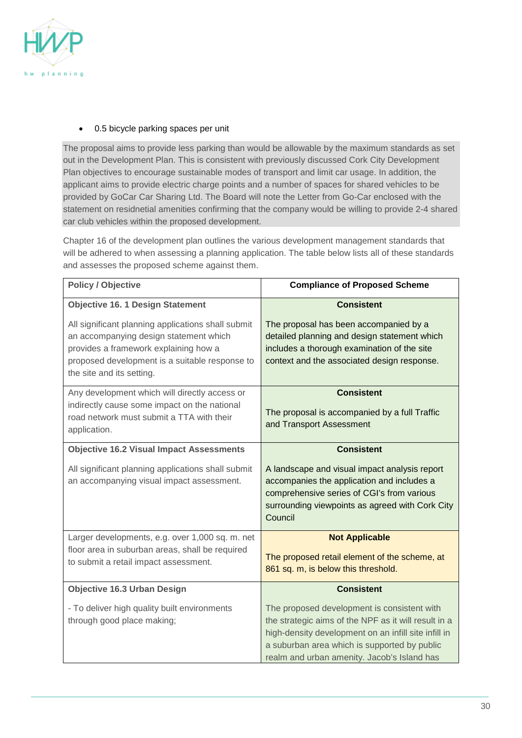

#### • 0.5 bicycle parking spaces per unit

The proposal aims to provide less parking than would be allowable by the maximum standards as set out in the Development Plan. This is consistent with previously discussed Cork City Development Plan objectives to encourage sustainable modes of transport and limit car usage. In addition, the applicant aims to provide electric charge points and a number of spaces for shared vehicles to be provided by GoCar Car Sharing Ltd. The Board will note the Letter from Go-Car enclosed with the statement on residnetial amenities confirming that the company would be willing to provide 2-4 shared car club vehicles within the proposed development.

Chapter 16 of the development plan outlines the various development management standards that will be adhered to when assessing a planning application. The table below lists all of these standards and assesses the proposed scheme against them.

| <b>Policy / Objective</b>                                                                                                                                                                                            | <b>Compliance of Proposed Scheme</b>                                                                                                                                                                                                                       |
|----------------------------------------------------------------------------------------------------------------------------------------------------------------------------------------------------------------------|------------------------------------------------------------------------------------------------------------------------------------------------------------------------------------------------------------------------------------------------------------|
| <b>Objective 16. 1 Design Statement</b>                                                                                                                                                                              | <b>Consistent</b>                                                                                                                                                                                                                                          |
| All significant planning applications shall submit<br>an accompanying design statement which<br>provides a framework explaining how a<br>proposed development is a suitable response to<br>the site and its setting. | The proposal has been accompanied by a<br>detailed planning and design statement which<br>includes a thorough examination of the site<br>context and the associated design response.                                                                       |
| Any development which will directly access or<br>indirectly cause some impact on the national<br>road network must submit a TTA with their<br>application.                                                           | <b>Consistent</b><br>The proposal is accompanied by a full Traffic<br>and Transport Assessment                                                                                                                                                             |
| <b>Objective 16.2 Visual Impact Assessments</b>                                                                                                                                                                      | <b>Consistent</b>                                                                                                                                                                                                                                          |
| All significant planning applications shall submit<br>an accompanying visual impact assessment.                                                                                                                      | A landscape and visual impact analysis report<br>accompanies the application and includes a<br>comprehensive series of CGI's from various<br>surrounding viewpoints as agreed with Cork City<br>Council                                                    |
| Larger developments, e.g. over 1,000 sq. m. net                                                                                                                                                                      | <b>Not Applicable</b>                                                                                                                                                                                                                                      |
| floor area in suburban areas, shall be required<br>to submit a retail impact assessment.                                                                                                                             | The proposed retail element of the scheme, at<br>861 sq. m, is below this threshold.                                                                                                                                                                       |
| <b>Objective 16.3 Urban Design</b>                                                                                                                                                                                   | <b>Consistent</b>                                                                                                                                                                                                                                          |
| - To deliver high quality built environments<br>through good place making;                                                                                                                                           | The proposed development is consistent with<br>the strategic aims of the NPF as it will result in a<br>high-density development on an infill site infill in<br>a suburban area which is supported by public<br>realm and urban amenity. Jacob's Island has |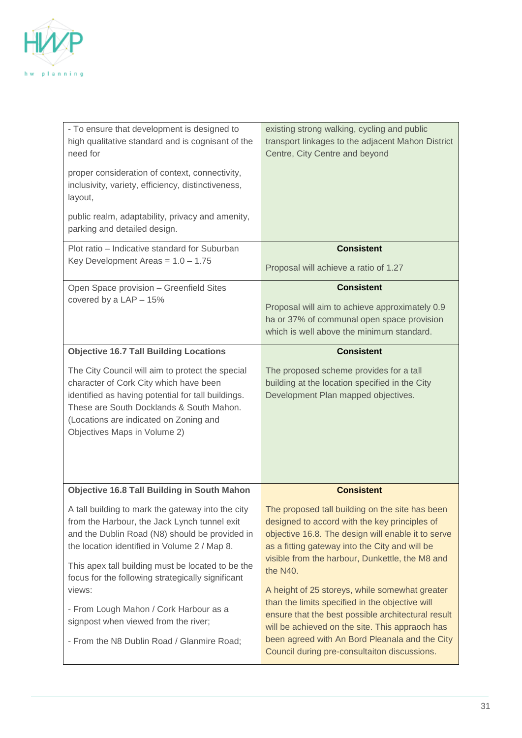

| - To ensure that development is designed to<br>high qualitative standard and is cognisant of the<br>need for<br>proper consideration of context, connectivity,<br>inclusivity, variety, efficiency, distinctiveness,<br>layout,<br>public realm, adaptability, privacy and amenity,<br>parking and detailed design. | existing strong walking, cycling and public<br>transport linkages to the adjacent Mahon District<br>Centre, City Centre and beyond                                                                                                                          |
|---------------------------------------------------------------------------------------------------------------------------------------------------------------------------------------------------------------------------------------------------------------------------------------------------------------------|-------------------------------------------------------------------------------------------------------------------------------------------------------------------------------------------------------------------------------------------------------------|
| Plot ratio - Indicative standard for Suburban<br>Key Development Areas = $1.0 - 1.75$                                                                                                                                                                                                                               | <b>Consistent</b><br>Proposal will achieve a ratio of 1.27                                                                                                                                                                                                  |
| Open Space provision - Greenfield Sites<br>covered by a LAP - 15%                                                                                                                                                                                                                                                   | <b>Consistent</b><br>Proposal will aim to achieve approximately 0.9<br>ha or 37% of communal open space provision<br>which is well above the minimum standard.                                                                                              |
| <b>Objective 16.7 Tall Building Locations</b>                                                                                                                                                                                                                                                                       | <b>Consistent</b>                                                                                                                                                                                                                                           |
| The City Council will aim to protect the special<br>character of Cork City which have been<br>identified as having potential for tall buildings.<br>These are South Docklands & South Mahon.<br>(Locations are indicated on Zoning and<br>Objectives Maps in Volume 2)                                              | The proposed scheme provides for a tall<br>building at the location specified in the City<br>Development Plan mapped objectives.                                                                                                                            |
|                                                                                                                                                                                                                                                                                                                     |                                                                                                                                                                                                                                                             |
| <b>Objective 16.8 Tall Building in South Mahon</b>                                                                                                                                                                                                                                                                  | <b>Consistent</b>                                                                                                                                                                                                                                           |
| A tall building to mark the gateway into the city<br>from the Harbour, the Jack Lynch tunnel exit<br>and the Dublin Road (N8) should be provided in<br>the location identified in Volume 2 / Map 8.<br>This apex tall building must be located to be the                                                            | The proposed tall building on the site has been<br>designed to accord with the key principles of<br>objective 16.8. The design will enable it to serve<br>as a fitting gateway into the City and will be<br>visible from the harbour, Dunkettle, the M8 and |
| focus for the following strategically significant<br>views:                                                                                                                                                                                                                                                         | the N40.<br>A height of 25 storeys, while somewhat greater                                                                                                                                                                                                  |
| - From Lough Mahon / Cork Harbour as a<br>signpost when viewed from the river;<br>- From the N8 Dublin Road / Glanmire Road;                                                                                                                                                                                        | than the limits specified in the objective will<br>ensure that the best possible architectural result<br>will be achieved on the site. This appraoch has<br>been agreed with An Bord Pleanala and the City<br>Council during pre-consultaiton discussions.  |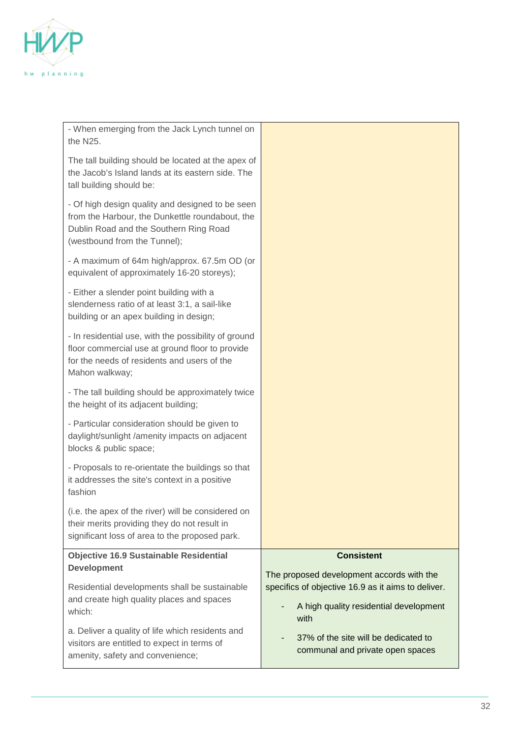

| - When emerging from the Jack Lynch tunnel on<br>the N25.                                                                                                                     |                                                                                                 |
|-------------------------------------------------------------------------------------------------------------------------------------------------------------------------------|-------------------------------------------------------------------------------------------------|
| The tall building should be located at the apex of<br>the Jacob's Island lands at its eastern side. The<br>tall building should be:                                           |                                                                                                 |
| - Of high design quality and designed to be seen<br>from the Harbour, the Dunkettle roundabout, the<br>Dublin Road and the Southern Ring Road<br>(westbound from the Tunnel); |                                                                                                 |
| - A maximum of 64m high/approx. 67.5m OD (or<br>equivalent of approximately 16-20 storeys);                                                                                   |                                                                                                 |
| - Either a slender point building with a<br>slenderness ratio of at least 3:1, a sail-like<br>building or an apex building in design;                                         |                                                                                                 |
| - In residential use, with the possibility of ground<br>floor commercial use at ground floor to provide<br>for the needs of residents and users of the<br>Mahon walkway;      |                                                                                                 |
| - The tall building should be approximately twice<br>the height of its adjacent building;                                                                                     |                                                                                                 |
| - Particular consideration should be given to<br>daylight/sunlight /amenity impacts on adjacent<br>blocks & public space;                                                     |                                                                                                 |
| - Proposals to re-orientate the buildings so that<br>it addresses the site's context in a positive<br>fashion                                                                 |                                                                                                 |
| (i.e. the apex of the river) will be considered on<br>their merits providing they do not result in<br>significant loss of area to the proposed park.                          |                                                                                                 |
| <b>Objective 16.9 Sustainable Residential</b><br><b>Development</b>                                                                                                           | <b>Consistent</b>                                                                               |
| Residential developments shall be sustainable<br>and create high quality places and spaces                                                                                    | The proposed development accords with the<br>specifics of objective 16.9 as it aims to deliver. |
| which:                                                                                                                                                                        | A high quality residential development<br>with                                                  |
| a. Deliver a quality of life which residents and<br>visitors are entitled to expect in terms of<br>amenity, safety and convenience;                                           | 37% of the site will be dedicated to<br>communal and private open spaces                        |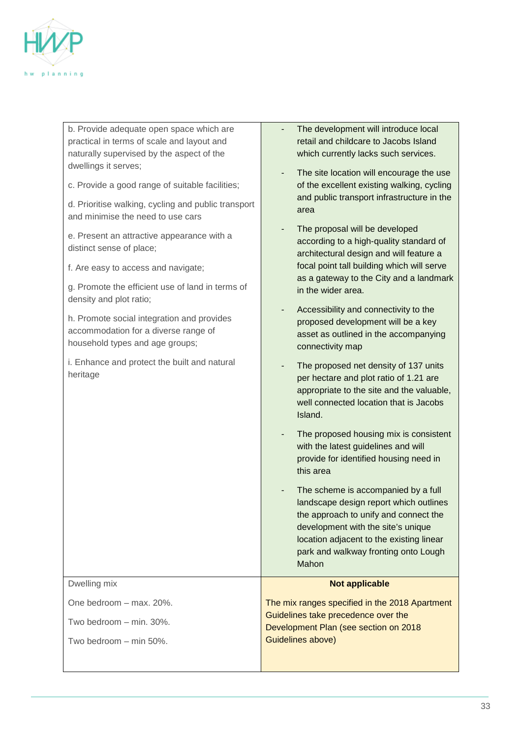

b. Provide adequate open space which are practical in terms of scale and layout and naturally supervised by the aspect of the dwellings it serves;

c. Provide a good range of suitable facilities;

d. Prioritise walking, cycling and public transport and minimise the need to use cars

e. Present an attractive appearance with a distinct sense of place;

f. Are easy to access and navigate;

g. Promote the efficient use of land in terms of density and plot ratio;

h. Promote social integration and provides accommodation for a diverse range of household types and age groups;

i. Enhance and protect the built and natural heritage

Dwelling mix

One bedroom – max. 20%.

Two bedroom – min. 30%.

Two bedroom – min 50%.

- The development will introduce local retail and childcare to Jacobs Island which currently lacks such services.
- The site location will encourage the use of the excellent existing walking, cycling and public transport infrastructure in the area
- The proposal will be developed according to a high-quality standard of architectural design and will feature a focal point tall building which will serve as a gateway to the City and a landmark in the wider area.
- Accessibility and connectivity to the proposed development will be a key asset as outlined in the accompanying connectivity map
- The proposed net density of 137 units per hectare and plot ratio of 1.21 are appropriate to the site and the valuable, well connected location that is Jacobs Island.
- The proposed housing mix is consistent with the latest guidelines and will provide for identified housing need in this area
- The scheme is accompanied by a full landscape design report which outlines the approach to unify and connect the development with the site's unique location adjacent to the existing linear park and walkway fronting onto Lough Mahon

#### **Not applicable**

The mix ranges specified in the 2018 Apartment Guidelines take precedence over the Development Plan (see section on 2018 Guidelines above)

33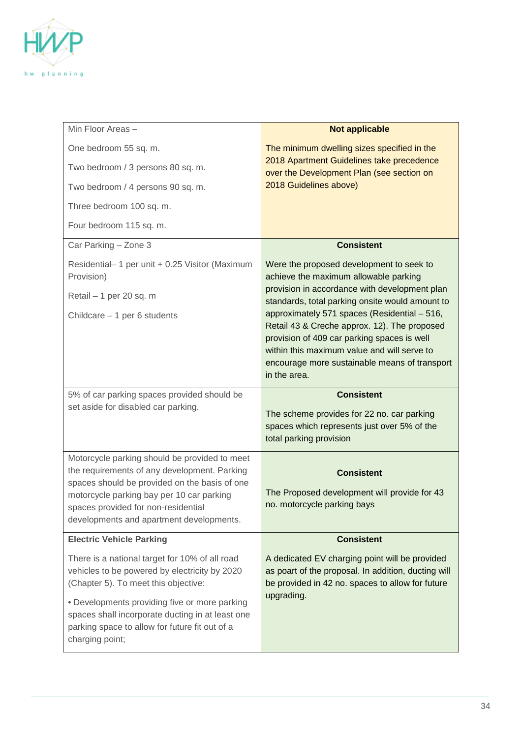

| Min Floor Areas -                                                                                                                                                      | <b>Not applicable</b>                                                                                                                                                                                                                                       |
|------------------------------------------------------------------------------------------------------------------------------------------------------------------------|-------------------------------------------------------------------------------------------------------------------------------------------------------------------------------------------------------------------------------------------------------------|
| One bedroom 55 sq. m.                                                                                                                                                  | The minimum dwelling sizes specified in the<br>2018 Apartment Guidelines take precedence                                                                                                                                                                    |
| Two bedroom / 3 persons 80 sq. m.                                                                                                                                      | over the Development Plan (see section on                                                                                                                                                                                                                   |
| Two bedroom / 4 persons 90 sq. m.                                                                                                                                      | 2018 Guidelines above)                                                                                                                                                                                                                                      |
| Three bedroom 100 sq. m.                                                                                                                                               |                                                                                                                                                                                                                                                             |
| Four bedroom 115 sq. m.                                                                                                                                                |                                                                                                                                                                                                                                                             |
| Car Parking - Zone 3                                                                                                                                                   | <b>Consistent</b>                                                                                                                                                                                                                                           |
| Residential-1 per unit + 0.25 Visitor (Maximum<br>Provision)                                                                                                           | Were the proposed development to seek to<br>achieve the maximum allowable parking                                                                                                                                                                           |
| Retail - 1 per 20 sq. m                                                                                                                                                | provision in accordance with development plan<br>standards, total parking onsite would amount to                                                                                                                                                            |
| Childcare $-1$ per 6 students                                                                                                                                          | approximately 571 spaces (Residential - 516,<br>Retail 43 & Creche approx. 12). The proposed<br>provision of 409 car parking spaces is well<br>within this maximum value and will serve to<br>encourage more sustainable means of transport<br>in the area. |
| 5% of car parking spaces provided should be                                                                                                                            | <b>Consistent</b>                                                                                                                                                                                                                                           |
| set aside for disabled car parking.                                                                                                                                    | The scheme provides for 22 no. car parking<br>spaces which represents just over 5% of the<br>total parking provision                                                                                                                                        |
| Motorcycle parking should be provided to meet<br>the requirements of any development. Parking                                                                          | <b>Consistent</b>                                                                                                                                                                                                                                           |
| spaces should be provided on the basis of one                                                                                                                          |                                                                                                                                                                                                                                                             |
| motorcycle parking bay per 10 car parking<br>spaces provided for non-residential<br>developments and apartment developments.                                           | The Proposed development will provide for 43<br>no. motorcycle parking bays                                                                                                                                                                                 |
| <b>Electric Vehicle Parking</b>                                                                                                                                        | <b>Consistent</b>                                                                                                                                                                                                                                           |
| There is a national target for 10% of all road<br>vehicles to be powered by electricity by 2020<br>(Chapter 5). To meet this objective:                                | A dedicated EV charging point will be provided<br>as poart of the proposal. In addition, ducting will<br>be provided in 42 no. spaces to allow for future                                                                                                   |
| • Developments providing five or more parking<br>spaces shall incorporate ducting in at least one<br>parking space to allow for future fit out of a<br>charging point; | upgrading.                                                                                                                                                                                                                                                  |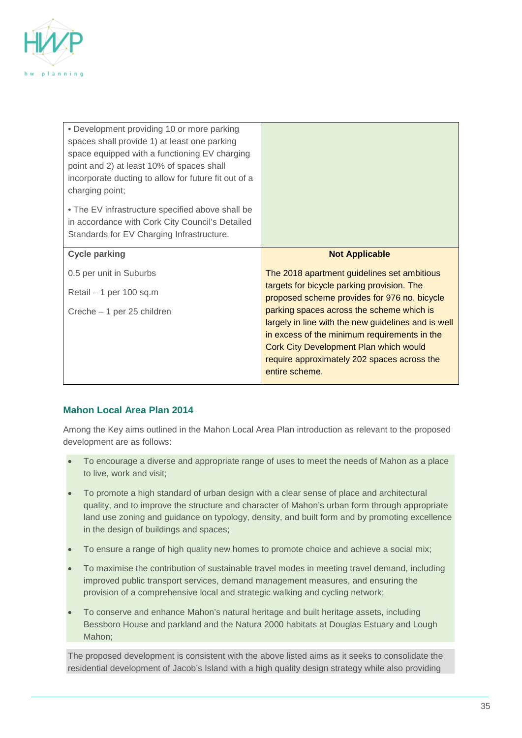

| • Development providing 10 or more parking<br>spaces shall provide 1) at least one parking<br>space equipped with a functioning EV charging<br>point and 2) at least 10% of spaces shall<br>incorporate ducting to allow for future fit out of a<br>charging point; |                                                                                                  |
|---------------------------------------------------------------------------------------------------------------------------------------------------------------------------------------------------------------------------------------------------------------------|--------------------------------------------------------------------------------------------------|
| . The EV infrastructure specified above shall be<br>in accordance with Cork City Council's Detailed<br>Standards for EV Charging Infrastructure.                                                                                                                    |                                                                                                  |
| <b>Cycle parking</b>                                                                                                                                                                                                                                                | <b>Not Applicable</b>                                                                            |
| 0.5 per unit in Suburbs                                                                                                                                                                                                                                             |                                                                                                  |
|                                                                                                                                                                                                                                                                     | The 2018 apartment guidelines set ambitious                                                      |
| Retail - 1 per 100 sq.m                                                                                                                                                                                                                                             | targets for bicycle parking provision. The<br>proposed scheme provides for 976 no. bicycle       |
| Creche - 1 per 25 children                                                                                                                                                                                                                                          | parking spaces across the scheme which is<br>largely in line with the new guidelines and is well |
|                                                                                                                                                                                                                                                                     | in excess of the minimum requirements in the<br>Cork City Development Plan which would           |

# **Mahon Local Area Plan 2014**

Among the Key aims outlined in the Mahon Local Area Plan introduction as relevant to the proposed development are as follows:

- To encourage a diverse and appropriate range of uses to meet the needs of Mahon as a place to live, work and visit;
- To promote a high standard of urban design with a clear sense of place and architectural quality, and to improve the structure and character of Mahon's urban form through appropriate land use zoning and guidance on typology, density, and built form and by promoting excellence in the design of buildings and spaces;
- To ensure a range of high quality new homes to promote choice and achieve a social mix;
- To maximise the contribution of sustainable travel modes in meeting travel demand, including improved public transport services, demand management measures, and ensuring the provision of a comprehensive local and strategic walking and cycling network;
- To conserve and enhance Mahon's natural heritage and built heritage assets, including Bessboro House and parkland and the Natura 2000 habitats at Douglas Estuary and Lough Mahon;

The proposed development is consistent with the above listed aims as it seeks to consolidate the residential development of Jacob's Island with a high quality design strategy while also providing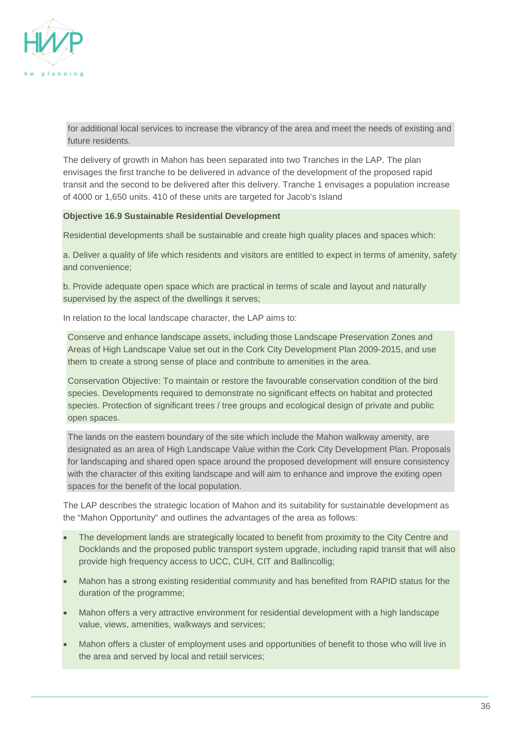

for additional local services to increase the vibrancy of the area and meet the needs of existing and future residents.

The delivery of growth in Mahon has been separated into two Tranches in the LAP. The plan envisages the first tranche to be delivered in advance of the development of the proposed rapid transit and the second to be delivered after this delivery. Tranche 1 envisages a population increase of 4000 or 1,650 units. 410 of these units are targeted for Jacob's Island

#### **Objective 16.9 Sustainable Residential Development**

Residential developments shall be sustainable and create high quality places and spaces which:

a. Deliver a quality of life which residents and visitors are entitled to expect in terms of amenity, safety and convenience;

b. Provide adequate open space which are practical in terms of scale and layout and naturally supervised by the aspect of the dwellings it serves;

In relation to the local landscape character, the LAP aims to:

Conserve and enhance landscape assets, including those Landscape Preservation Zones and Areas of High Landscape Value set out in the Cork City Development Plan 2009-2015, and use them to create a strong sense of place and contribute to amenities in the area.

Conservation Objective: To maintain or restore the favourable conservation condition of the bird species. Developments required to demonstrate no significant effects on habitat and protected species. Protection of significant trees / tree groups and ecological design of private and public open spaces.

The lands on the eastern boundary of the site which include the Mahon walkway amenity, are designated as an area of High Landscape Value within the Cork City Development Plan. Proposals for landscaping and shared open space around the proposed development will ensure consistency with the character of this exiting landscape and will aim to enhance and improve the exiting open spaces for the benefit of the local population.

The LAP describes the strategic location of Mahon and its suitability for sustainable development as the "Mahon Opportunity" and outlines the advantages of the area as follows:

- The development lands are strategically located to benefit from proximity to the City Centre and Docklands and the proposed public transport system upgrade, including rapid transit that will also provide high frequency access to UCC, CUH, CIT and Ballincollig;
- Mahon has a strong existing residential community and has benefited from RAPID status for the duration of the programme;
- Mahon offers a very attractive environment for residential development with a high landscape value, views, amenities, walkways and services;
- Mahon offers a cluster of employment uses and opportunities of benefit to those who will live in the area and served by local and retail services;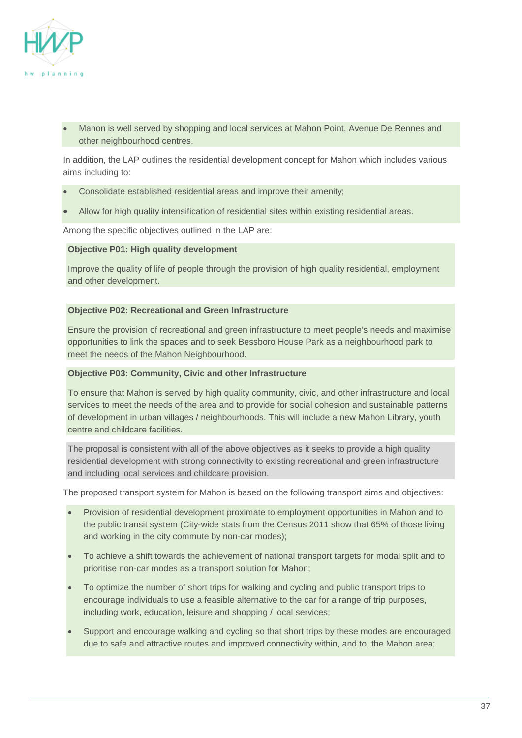

• Mahon is well served by shopping and local services at Mahon Point, Avenue De Rennes and other neighbourhood centres.

In addition, the LAP outlines the residential development concept for Mahon which includes various aims including to:

- Consolidate established residential areas and improve their amenity;
- Allow for high quality intensification of residential sites within existing residential areas.

Among the specific objectives outlined in the LAP are:

#### **Objective P01: High quality development**

Improve the quality of life of people through the provision of high quality residential, employment and other development.

#### **Objective P02: Recreational and Green Infrastructure**

Ensure the provision of recreational and green infrastructure to meet people's needs and maximise opportunities to link the spaces and to seek Bessboro House Park as a neighbourhood park to meet the needs of the Mahon Neighbourhood.

#### **Objective P03: Community, Civic and other Infrastructure**

To ensure that Mahon is served by high quality community, civic, and other infrastructure and local services to meet the needs of the area and to provide for social cohesion and sustainable patterns of development in urban villages / neighbourhoods. This will include a new Mahon Library, youth centre and childcare facilities.

The proposal is consistent with all of the above objectives as it seeks to provide a high quality residential development with strong connectivity to existing recreational and green infrastructure and including local services and childcare provision.

The proposed transport system for Mahon is based on the following transport aims and objectives:

- Provision of residential development proximate to employment opportunities in Mahon and to the public transit system (City-wide stats from the Census 2011 show that 65% of those living and working in the city commute by non-car modes);
- To achieve a shift towards the achievement of national transport targets for modal split and to prioritise non-car modes as a transport solution for Mahon;
- To optimize the number of short trips for walking and cycling and public transport trips to encourage individuals to use a feasible alternative to the car for a range of trip purposes, including work, education, leisure and shopping / local services;
- Support and encourage walking and cycling so that short trips by these modes are encouraged due to safe and attractive routes and improved connectivity within, and to, the Mahon area;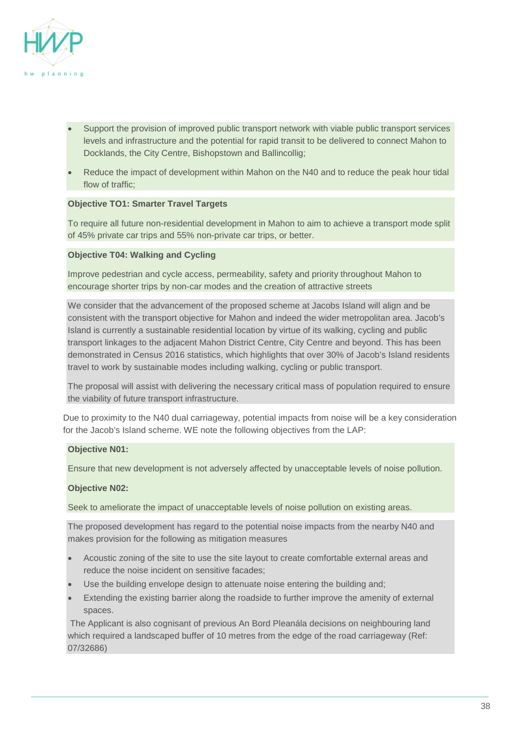

- Support the provision of improved public transport network with viable public transport services levels and infrastructure and the potential for rapid transit to be delivered to connect Mahon to Docklands, the City Centre, Bishopstown and Ballincollig;
- Reduce the impact of development within Mahon on the N40 and to reduce the peak hour tidal flow of traffic;

#### **Objective TO1: Smarter Travel Targets**

To require all future non-residential development in Mahon to aim to achieve a transport mode split of 45% private car trips and 55% non-private car trips, or better.

#### **Objective T04: Walking and Cycling**

Improve pedestrian and cycle access, permeability, safety and priority throughout Mahon to encourage shorter trips by non-car modes and the creation of attractive streets

We consider that the advancement of the proposed scheme at Jacobs Island will align and be consistent with the transport objective for Mahon and indeed the wider metropolitan area. Jacob's Island is currently a sustainable residential location by virtue of its walking, cycling and public transport linkages to the adjacent Mahon District Centre, City Centre and beyond. This has been demonstrated in Census 2016 statistics, which highlights that over 30% of Jacob's Island residents travel to work by sustainable modes including walking, cycling or public transport.

The proposal will assist with delivering the necessary critical mass of population required to ensure the viability of future transport infrastructure.

Due to proximity to the N40 dual carriageway, potential impacts from noise will be a key consideration for the Jacob's Island scheme. WE note the following objectives from the LAP:

# **Objective N01:**

Ensure that new development is not adversely affected by unacceptable levels of noise pollution.

# **Objective N02:**

Seek to ameliorate the impact of unacceptable levels of noise pollution on existing areas.

The proposed development has regard to the potential noise impacts from the nearby N40 and makes provision for the following as mitigation measures

- Acoustic zoning of the site to use the site layout to create comfortable external areas and reduce the noise incident on sensitive facades;
- Use the building envelope design to attenuate noise entering the building and;
- Extending the existing barrier along the roadside to further improve the amenity of external spaces.

The Applicant is also cognisant of previous An Bord Pleanála decisions on neighbouring land which required a landscaped buffer of 10 metres from the edge of the road carriageway (Ref: 07/32686)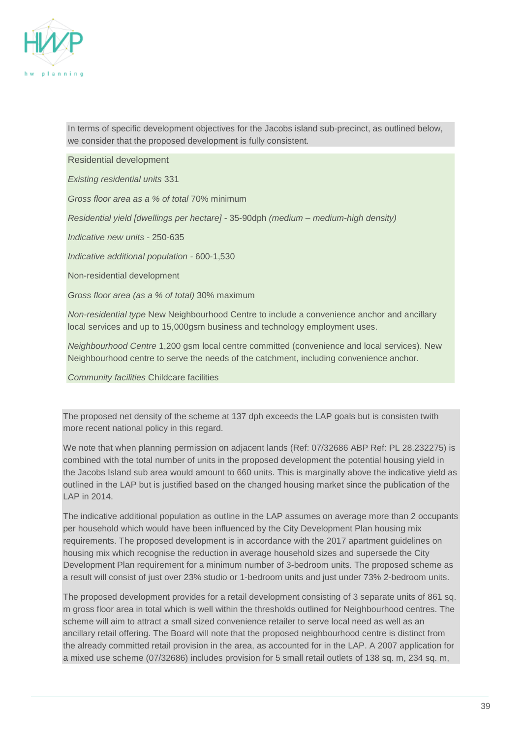

In terms of specific development objectives for the Jacobs island sub-precinct, as outlined below, we consider that the proposed development is fully consistent.

Residential development

*Existing residential units* 331

*Gross floor area as a % of total* 70% minimum

*Residential yield [dwellings per hectare] -* 35-90dph *(medium – medium-high density)*

*Indicative new units -* 250-635

*Indicative additional population -* 600-1,530

Non-residential development

*Gross floor area (as a % of total)* 30% maximum

*Non-residential type* New Neighbourhood Centre to include a convenience anchor and ancillary local services and up to 15,000gsm business and technology employment uses.

*Neighbourhood Centre* 1,200 gsm local centre committed (convenience and local services). New Neighbourhood centre to serve the needs of the catchment, including convenience anchor.

*Community facilities* Childcare facilities

The proposed net density of the scheme at 137 dph exceeds the LAP goals but is consisten twith more recent national policy in this regard.

We note that when planning permission on adjacent lands (Ref: 07/32686 ABP Ref: PL 28.232275) is combined with the total number of units in the proposed development the potential housing yield in the Jacobs Island sub area would amount to 660 units. This is marginally above the indicative yield as outlined in the LAP but is justified based on the changed housing market since the publication of the LAP in 2014.

The indicative additional population as outline in the LAP assumes on average more than 2 occupants per household which would have been influenced by the City Development Plan housing mix requirements. The proposed development is in accordance with the 2017 apartment guidelines on housing mix which recognise the reduction in average household sizes and supersede the City Development Plan requirement for a minimum number of 3-bedroom units. The proposed scheme as a result will consist of just over 23% studio or 1-bedroom units and just under 73% 2-bedroom units.

The proposed development provides for a retail development consisting of 3 separate units of 861 sq. m gross floor area in total which is well within the thresholds outlined for Neighbourhood centres. The scheme will aim to attract a small sized convenience retailer to serve local need as well as an ancillary retail offering. The Board will note that the proposed neighbourhood centre is distinct from the already committed retail provision in the area, as accounted for in the LAP. A 2007 application for a mixed use scheme (07/32686) includes provision for 5 small retail outlets of 138 sq. m, 234 sq. m,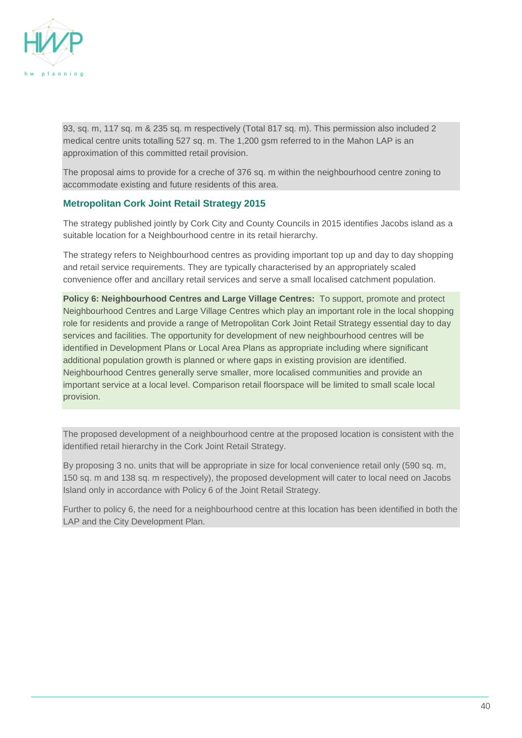

93, sq. m, 117 sq. m & 235 sq. m respectively (Total 817 sq. m). This permission also included 2 medical centre units totalling 527 sq. m. The 1,200 gsm referred to in the Mahon LAP is an approximation of this committed retail provision.

The proposal aims to provide for a creche of 376 sq. m within the neighbourhood centre zoning to accommodate existing and future residents of this area.

# **Metropolitan Cork Joint Retail Strategy 2015**

The strategy published jointly by Cork City and County Councils in 2015 identifies Jacobs island as a suitable location for a Neighbourhood centre in its retail hierarchy.

The strategy refers to Neighbourhood centres as providing important top up and day to day shopping and retail service requirements. They are typically characterised by an appropriately scaled convenience offer and ancillary retail services and serve a small localised catchment population.

**Policy 6: Neighbourhood Centres and Large Village Centres:** To support, promote and protect Neighbourhood Centres and Large Village Centres which play an important role in the local shopping role for residents and provide a range of Metropolitan Cork Joint Retail Strategy essential day to day services and facilities. The opportunity for development of new neighbourhood centres will be identified in Development Plans or Local Area Plans as appropriate including where significant additional population growth is planned or where gaps in existing provision are identified. Neighbourhood Centres generally serve smaller, more localised communities and provide an important service at a local level. Comparison retail floorspace will be limited to small scale local provision.

The proposed development of a neighbourhood centre at the proposed location is consistent with the identified retail hierarchy in the Cork Joint Retail Strategy.

By proposing 3 no. units that will be appropriate in size for local convenience retail only (590 sq. m, 150 sq. m and 138 sq. m respectively), the proposed development will cater to local need on Jacobs Island only in accordance with Policy 6 of the Joint Retail Strategy.

Further to policy 6, the need for a neighbourhood centre at this location has been identified in both the LAP and the City Development Plan.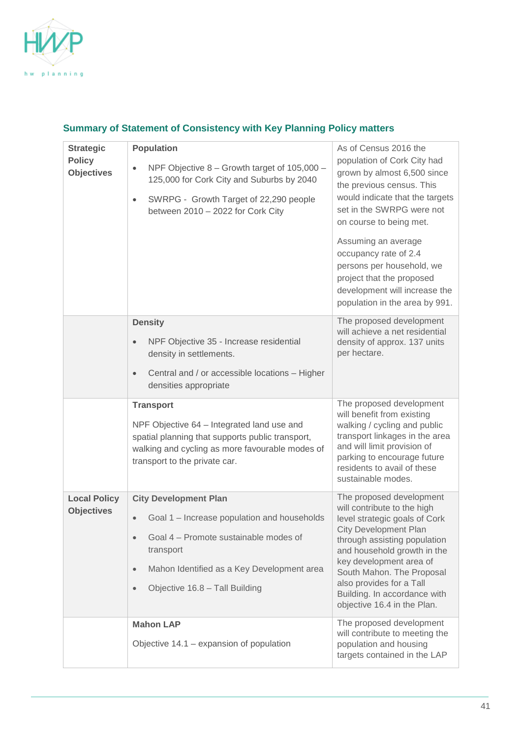

# **Summary of Statement of Consistency with Key Planning Policy matters**

| <b>Strategic</b><br><b>Policy</b><br><b>Objectives</b> | <b>Population</b><br>NPF Objective 8 - Growth target of 105,000 -<br>$\bullet$<br>125,000 for Cork City and Suburbs by 2040<br>SWRPG - Growth Target of 22,290 people<br>$\bullet$<br>between 2010 - 2022 for Cork City                     | As of Census 2016 the<br>population of Cork City had<br>grown by almost 6,500 since<br>the previous census. This<br>would indicate that the targets<br>set in the SWRPG were not<br>on course to being met.<br>Assuming an average<br>occupancy rate of 2.4<br>persons per household, we<br>project that the proposed<br>development will increase the<br>population in the area by 991. |
|--------------------------------------------------------|---------------------------------------------------------------------------------------------------------------------------------------------------------------------------------------------------------------------------------------------|------------------------------------------------------------------------------------------------------------------------------------------------------------------------------------------------------------------------------------------------------------------------------------------------------------------------------------------------------------------------------------------|
|                                                        | <b>Density</b><br>NPF Objective 35 - Increase residential<br>$\bullet$<br>density in settlements.<br>Central and / or accessible locations - Higher<br>$\bullet$<br>densities appropriate                                                   | The proposed development<br>will achieve a net residential<br>density of approx. 137 units<br>per hectare.                                                                                                                                                                                                                                                                               |
|                                                        | <b>Transport</b><br>NPF Objective 64 - Integrated land use and<br>spatial planning that supports public transport,<br>walking and cycling as more favourable modes of<br>transport to the private car.                                      | The proposed development<br>will benefit from existing<br>walking / cycling and public<br>transport linkages in the area<br>and will limit provision of<br>parking to encourage future<br>residents to avail of these<br>sustainable modes.                                                                                                                                              |
| <b>Local Policy</b><br><b>Objectives</b>               | <b>City Development Plan</b><br>Goal 1 - Increase population and households<br>Goal 4 - Promote sustainable modes of<br>transport<br>Mahon Identified as a Key Development area<br>$\bullet$<br>Objective 16.8 - Tall Building<br>$\bullet$ | The proposed development<br>will contribute to the high<br>level strategic goals of Cork<br><b>City Development Plan</b><br>through assisting population<br>and household growth in the<br>key development area of<br>South Mahon. The Proposal<br>also provides for a Tall<br>Building. In accordance with<br>objective 16.4 in the Plan.                                               |
|                                                        | <b>Mahon LAP</b><br>Objective 14.1 – expansion of population                                                                                                                                                                                | The proposed development<br>will contribute to meeting the<br>population and housing<br>targets contained in the LAP                                                                                                                                                                                                                                                                     |